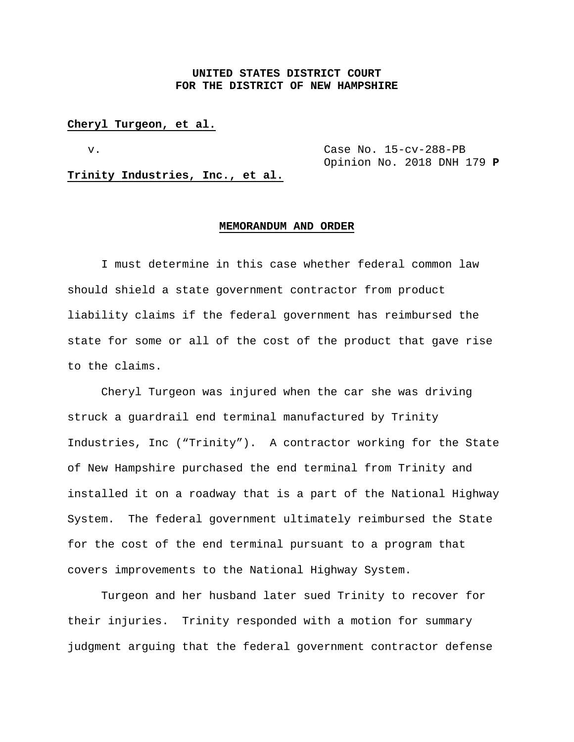# **UNITED STATES DISTRICT COURT FOR THE DISTRICT OF NEW HAMPSHIRE**

#### **Cheryl Turgeon, et al.**

v. Case No. 15-cv-288-PB Opinion No. 2018 DNH 179 **P**

**Trinity Industries, Inc., et al.**

#### **MEMORANDUM AND ORDER**

I must determine in this case whether federal common law should shield a state government contractor from product liability claims if the federal government has reimbursed the state for some or all of the cost of the product that gave rise to the claims.

Cheryl Turgeon was injured when the car she was driving struck a guardrail end terminal manufactured by Trinity Industries, Inc ("Trinity"). A contractor working for the State of New Hampshire purchased the end terminal from Trinity and installed it on a roadway that is a part of the National Highway System. The federal government ultimately reimbursed the State for the cost of the end terminal pursuant to a program that covers improvements to the National Highway System.

Turgeon and her husband later sued Trinity to recover for their injuries. Trinity responded with a motion for summary judgment arguing that the federal government contractor defense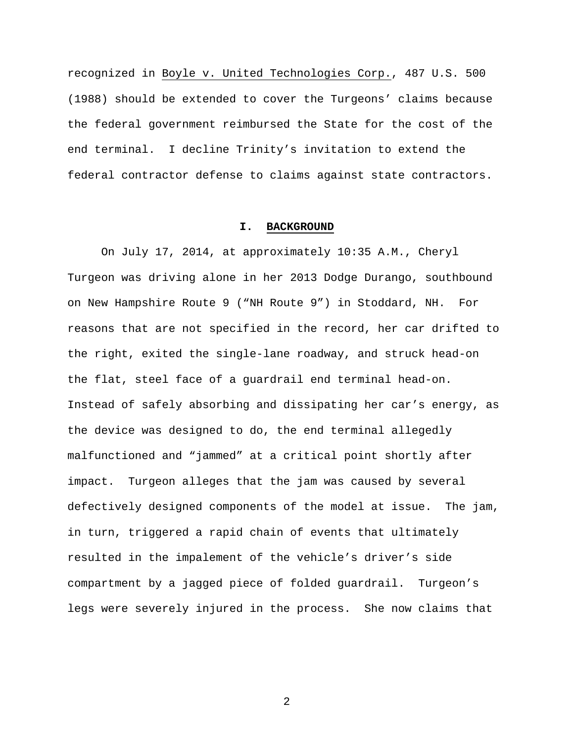recognized in Boyle v. United Technologies Corp., 487 U.S. 500 (1988) should be extended to cover the Turgeons' claims because the federal government reimbursed the State for the cost of the end terminal. I decline Trinity's invitation to extend the federal contractor defense to claims against state contractors.

#### **I. BACKGROUND**

On July 17, 2014, at approximately 10:35 A.M., Cheryl Turgeon was driving alone in her 2013 Dodge Durango, southbound on New Hampshire Route 9 ("NH Route 9") in Stoddard, NH. For reasons that are not specified in the record, her car drifted to the right, exited the single-lane roadway, and struck head-on the flat, steel face of a guardrail end terminal head-on. Instead of safely absorbing and dissipating her car's energy, as the device was designed to do, the end terminal allegedly malfunctioned and "jammed" at a critical point shortly after impact. Turgeon alleges that the jam was caused by several defectively designed components of the model at issue. The jam, in turn, triggered a rapid chain of events that ultimately resulted in the impalement of the vehicle's driver's side compartment by a jagged piece of folded guardrail. Turgeon's legs were severely injured in the process. She now claims that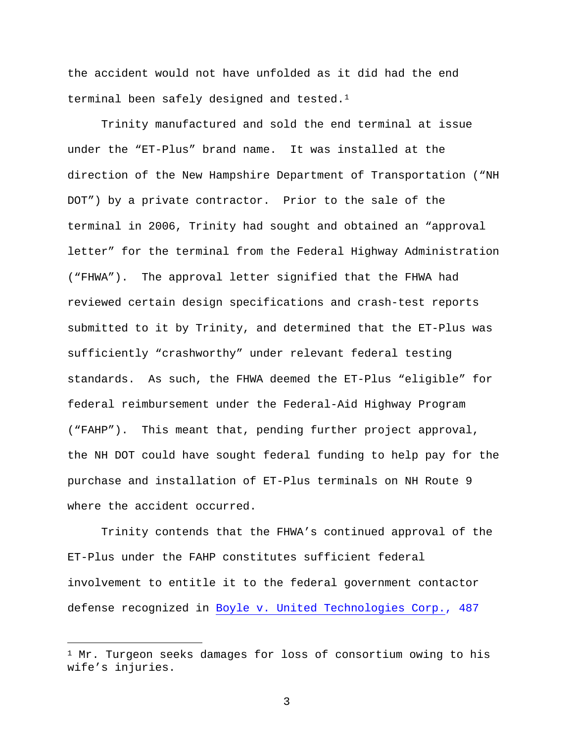the accident would not have unfolded as it did had the end terminal been safely designed and tested.<sup>1</sup>

Trinity manufactured and sold the end terminal at issue under the "ET-Plus" brand name. It was installed at the direction of the New Hampshire Department of Transportation ("NH DOT") by a private contractor. Prior to the sale of the terminal in 2006, Trinity had sought and obtained an "approval letter" for the terminal from the Federal Highway Administration ("FHWA"). The approval letter signified that the FHWA had reviewed certain design specifications and crash-test reports submitted to it by Trinity, and determined that the ET-Plus was sufficiently "crashworthy" under relevant federal testing standards. As such, the FHWA deemed the ET-Plus "eligible" for federal reimbursement under the Federal-Aid Highway Program ("FAHP"). This meant that, pending further project approval, the NH DOT could have sought federal funding to help pay for the purchase and installation of ET-Plus terminals on NH Route 9 where the accident occurred.

Trinity contends that the FHWA's continued approval of the ET-Plus under the FAHP constitutes sufficient federal involvement to entitle it to the federal government contactor defense recognized in Boyle v. United Technologies Corp., 487

Ĩ.

 $1$  Mr. Turgeon seeks damages for loss of consortium owing to his wife's injuries.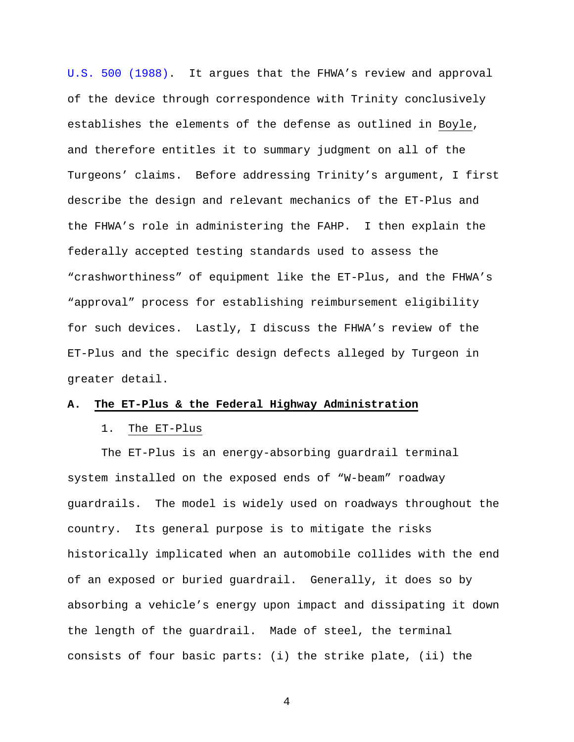U.S. 500 (1988). It argues that the FHWA's review and approval of the device through correspondence with Trinity conclusively establishes the elements of the defense as outlined in Boyle, and therefore entitles it to summary judgment on all of the Turgeons' claims. Before addressing Trinity's argument, I first describe the design and relevant mechanics of the ET-Plus and the FHWA's role in administering the FAHP. I then explain the federally accepted testing standards used to assess the "crashworthiness" of equipment like the ET-Plus, and the FHWA's "approval" process for establishing reimbursement eligibility for such devices. Lastly, I discuss the FHWA's review of the ET-Plus and the specific design defects alleged by Turgeon in greater detail.

#### **A. The ET-Plus & the Federal Highway Administration**

### 1. The ET-Plus

The ET-Plus is an energy-absorbing guardrail terminal system installed on the exposed ends of "W-beam" roadway guardrails. The model is widely used on roadways throughout the country. Its general purpose is to mitigate the risks historically implicated when an automobile collides with the end of an exposed or buried guardrail. Generally, it does so by absorbing a vehicle's energy upon impact and dissipating it down the length of the guardrail. Made of steel, the terminal consists of four basic parts: (i) the strike plate, (ii) the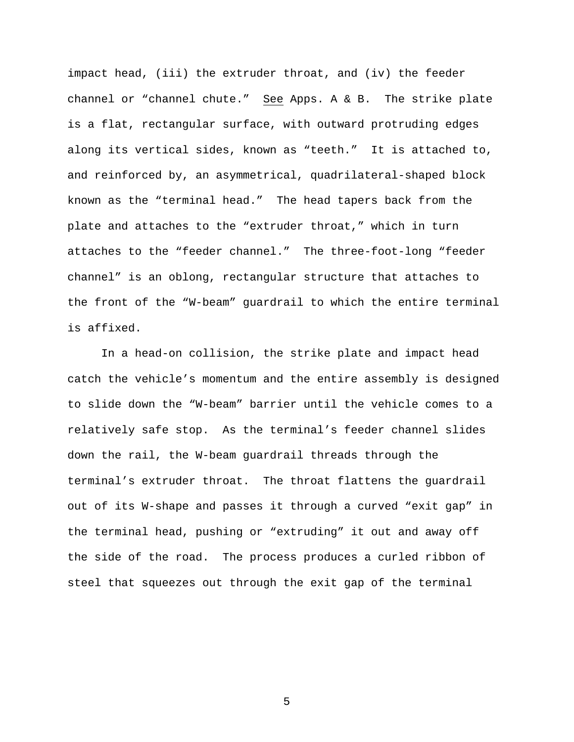impact head, (iii) the extruder throat, and (iv) the feeder channel or "channel chute." See Apps. A & B. The strike plate is a flat, rectangular surface, with outward protruding edges along its vertical sides, known as "teeth." It is attached to, and reinforced by, an asymmetrical, quadrilateral-shaped block known as the "terminal head." The head tapers back from the plate and attaches to the "extruder throat," which in turn attaches to the "feeder channel." The three-foot-long "feeder channel" is an oblong, rectangular structure that attaches to the front of the "W-beam" guardrail to which the entire terminal is affixed.

In a head-on collision, the strike plate and impact head catch the vehicle's momentum and the entire assembly is designed to slide down the "W-beam" barrier until the vehicle comes to a relatively safe stop. As the terminal's feeder channel slides down the rail, the W-beam guardrail threads through the terminal's extruder throat. The throat flattens the guardrail out of its W-shape and passes it through a curved "exit gap" in the terminal head, pushing or "extruding" it out and away off the side of the road. The process produces a curled ribbon of steel that squeezes out through the exit gap of the terminal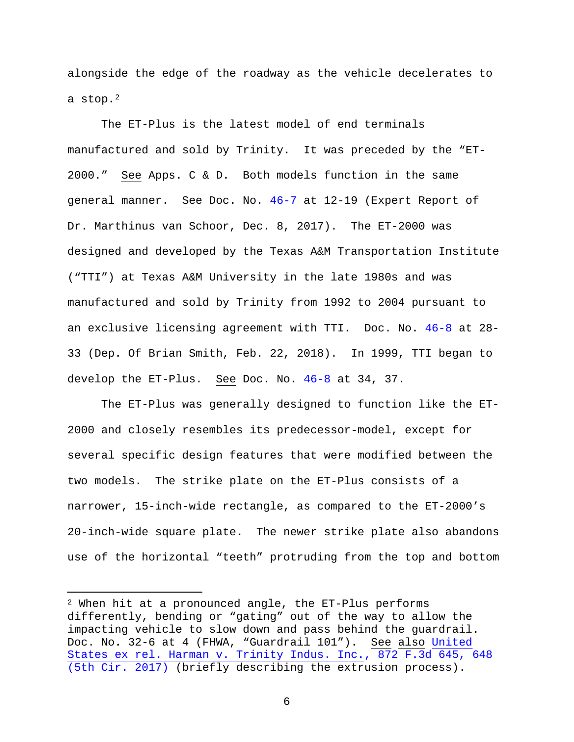alongside the edge of the roadway as the vehicle decelerates to a stop.<sup>2</sup>

The ET-Plus is the latest model of end terminals manufactured and sold by Trinity. It was preceded by the "ET-2000." See Apps. C & D. Both models function in the same general manner. See Doc. No. 46-7 at 12-19 (Expert Report of Dr. Marthinus van Schoor, Dec. 8, 2017). The ET-2000 was designed and developed by the Texas A&M Transportation Institute ("TTI") at Texas A&M University in the late 1980s and was manufactured and sold by Trinity from 1992 to 2004 pursuant to an exclusive licensing agreement with TTI. Doc. No. 46-8 at 28- 33 (Dep. Of Brian Smith, Feb. 22, 2018). In 1999, TTI began to develop the ET-Plus. See Doc. No. 46-8 at 34, 37.

The ET-Plus was generally designed to function like the ET-2000 and closely resembles its predecessor-model, except for several specific design features that were modified between the two models. The strike plate on the ET-Plus consists of a narrower, 15-inch-wide rectangle, as compared to the ET-2000's 20-inch-wide square plate. The newer strike plate also abandons use of the horizontal "teeth" protruding from the top and bottom

Ĩ.

 $2$  When hit at a pronounced angle, the ET-Plus performs differently, bending or "gating" out of the way to allow the impacting vehicle to slow down and pass behind the guardrail. Doc. No. 32-6 at 4 (FHWA, "Guardrail 101"). See also United States ex rel. Harman v. Trinity Indus. Inc., 872 F.3d 645, 648 (5th Cir. 2017) (briefly describing the extrusion process).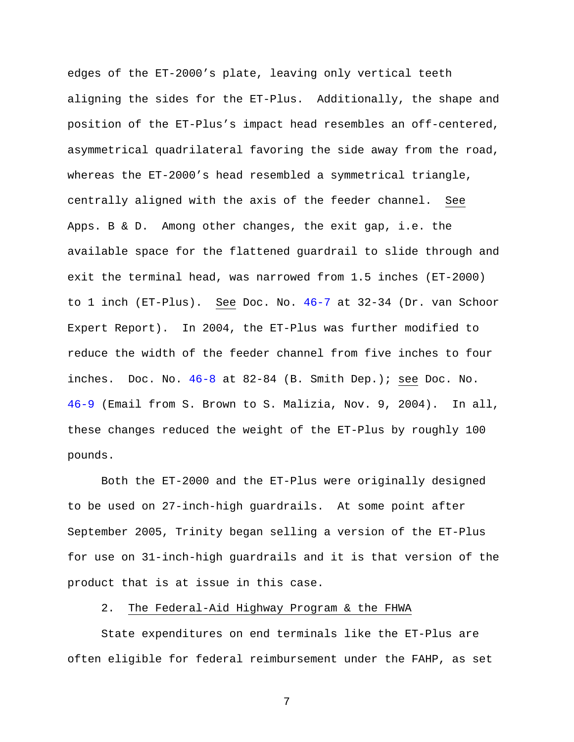edges of the ET-2000's plate, leaving only vertical teeth aligning the sides for the ET-Plus. Additionally, the shape and position of the ET-Plus's impact head resembles an off-centered, asymmetrical quadrilateral favoring the side away from the road, whereas the ET-2000's head resembled a symmetrical triangle, centrally aligned with the axis of the feeder channel. See Apps. B & D. Among other changes, the exit gap, i.e. the available space for the flattened guardrail to slide through and exit the terminal head, was narrowed from 1.5 inches (ET-2000) to 1 inch (ET-Plus). See Doc. No. 46-7 at 32-34 (Dr. van Schoor Expert Report). In 2004, the ET-Plus was further modified to reduce the width of the feeder channel from five inches to four inches. Doc. No. 46-8 at 82-84 (B. Smith Dep.); see Doc. No. 46-9 (Email from S. Brown to S. Malizia, Nov. 9, 2004). In all, these changes reduced the weight of the ET-Plus by roughly 100 pounds.

Both the ET-2000 and the ET-Plus were originally designed to be used on 27-inch-high guardrails. At some point after September 2005, Trinity began selling a version of the ET-Plus for use on 31-inch-high guardrails and it is that version of the product that is at issue in this case.

### 2. The Federal-Aid Highway Program & the FHWA

State expenditures on end terminals like the ET-Plus are often eligible for federal reimbursement under the FAHP, as set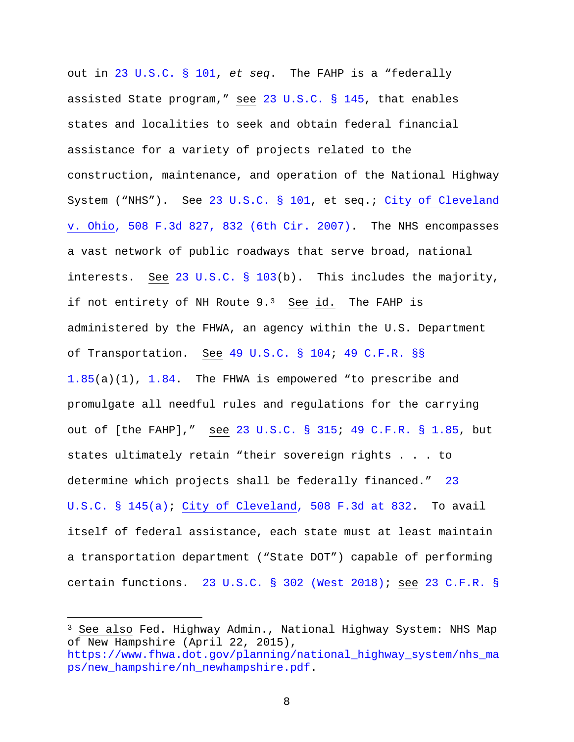out in 23 U.S.C. § 101, *et seq*. The FAHP is a "federally assisted State program," see 23 U.S.C. § 145, that enables states and localities to seek and obtain federal financial assistance for a variety of projects related to the construction, maintenance, and operation of the National Highway System ("NHS"). See 23 U.S.C. § 101, et seq.; City of Cleveland v. Ohio, 508 F.3d 827, 832 (6th Cir. 2007). The NHS encompasses a vast network of public roadways that serve broad, national interests. See 23 U.S.C. § 103(b). This includes the majority, if not entirety of NH Route  $9.^3$  See id. The FAHP is administered by the FHWA, an agency within the U.S. Department of Transportation. See 49 U.S.C. § 104; 49 C.F.R. §§ 1.85(a)(1), 1.84. The FHWA is empowered "to prescribe and promulgate all needful rules and regulations for the carrying out of [the FAHP]," see 23 U.S.C. § 315; 49 C.F.R. § 1.85, but states ultimately retain "their sovereign rights . . . to determine which projects shall be federally financed." 23 U.S.C. § 145(a); City of Cleveland, 508 F.3d at 832. To avail itself of federal assistance, each state must at least maintain a transportation department ("State DOT") capable of performing certain functions. 23 U.S.C. § 302 (West 2018); see 23 C.F.R. §

Ĩ.

<sup>&</sup>lt;sup>3</sup> See also Fed. Highway Admin., National Highway System: NHS Map of New Hampshire (April 22, 2015),

https://www.fhwa.dot.gov/planning/national\_highway\_system/nhs\_ma ps/new\_hampshire/nh\_newhampshire.pdf.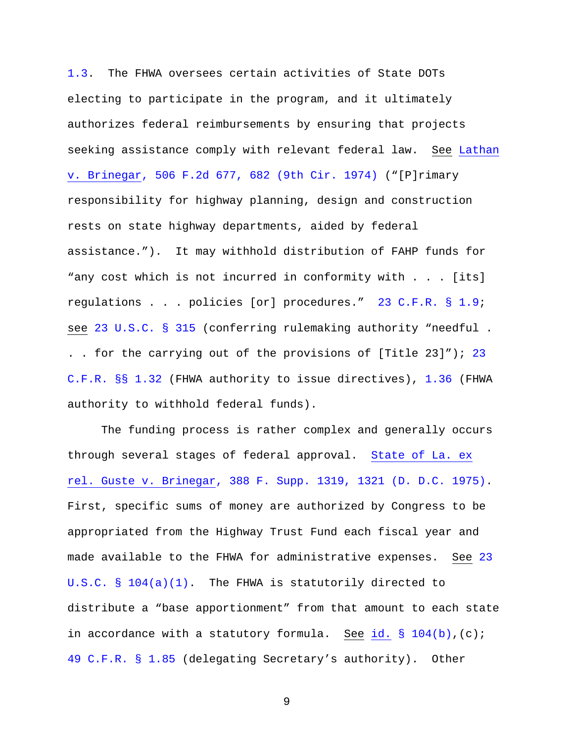1.3. The FHWA oversees certain activities of State DOTs electing to participate in the program, and it ultimately authorizes federal reimbursements by ensuring that projects seeking assistance comply with relevant federal law. See Lathan v. Brinegar, 506 F.2d 677, 682 (9th Cir. 1974) ("[P]rimary responsibility for highway planning, design and construction rests on state highway departments, aided by federal assistance."). It may withhold distribution of FAHP funds for "any cost which is not incurred in conformity with . . . [its] regulations . . . policies [or] procedures." 23 C.F.R. § 1.9; see 23 U.S.C. § 315 (conferring rulemaking authority "needful . . . for the carrying out of the provisions of [Title 23]"); 23 C.F.R. §§ 1.32 (FHWA authority to issue directives), 1.36 (FHWA authority to withhold federal funds).

The funding process is rather complex and generally occurs through several stages of federal approval. State of La. ex rel. Guste v. Brinegar, 388 F. Supp. 1319, 1321 (D. D.C. 1975). First, specific sums of money are authorized by Congress to be appropriated from the Highway Trust Fund each fiscal year and made available to the FHWA for administrative expenses. See 23 U.S.C. § 104(a)(1). The FHWA is statutorily directed to distribute a "base apportionment" from that amount to each state in accordance with a statutory formula. See id.  $\S$  104(b), (c); 49 C.F.R. § 1.85 (delegating Secretary's authority). Other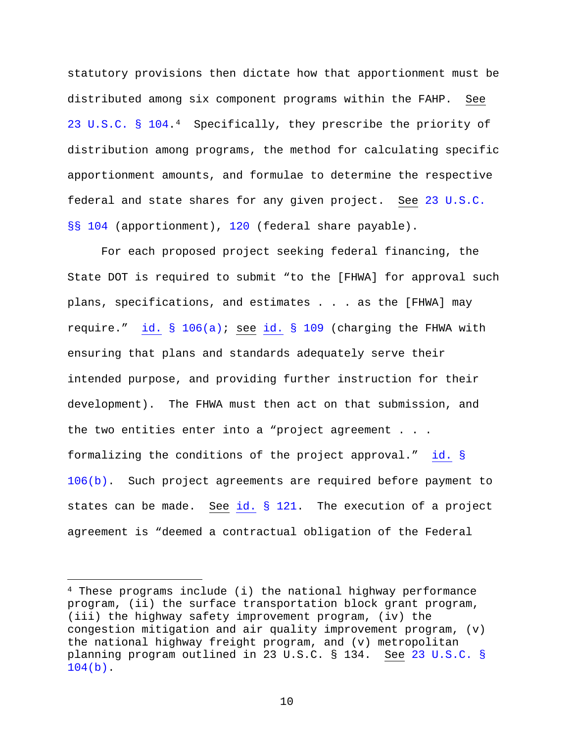statutory provisions then dictate how that apportionment must be distributed among six component programs within the FAHP. See 23 U.S.C. § 104.4 Specifically, they prescribe the priority of distribution among programs, the method for calculating specific apportionment amounts, and formulae to determine the respective federal and state shares for any given project. See 23 U.S.C. §§ 104 (apportionment), 120 (federal share payable).

For each proposed project seeking federal financing, the State DOT is required to submit "to the [FHWA] for approval such plans, specifications, and estimates . . . as the [FHWA] may require." id. § 106(a); see id. § 109 (charging the FHWA with ensuring that plans and standards adequately serve their intended purpose, and providing further instruction for their development). The FHWA must then act on that submission, and the two entities enter into a "project agreement . . . formalizing the conditions of the project approval." id. § 106(b). Such project agreements are required before payment to states can be made. See id. § 121. The execution of a project agreement is "deemed a contractual obligation of the Federal

Ĩ.

<sup>4</sup> These programs include (i) the national highway performance program, (ii) the surface transportation block grant program, (iii) the highway safety improvement program, (iv) the congestion mitigation and air quality improvement program,  $(v)$ the national highway freight program, and (v) metropolitan planning program outlined in 23 U.S.C. § 134. See 23 U.S.C. § 104(b).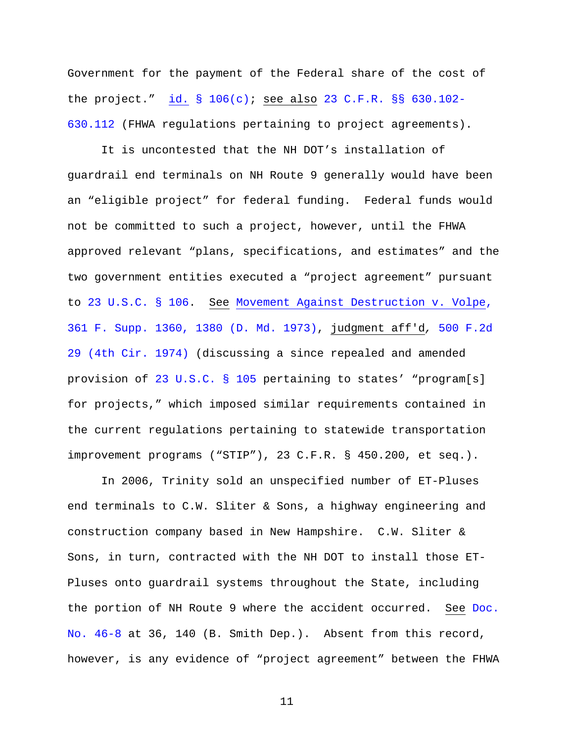Government for the payment of the Federal share of the cost of the project." id. §  $106(c)$ ; see also 23 C.F.R. §§ 630.102-630.112 (FHWA regulations pertaining to project agreements).

It is uncontested that the NH DOT's installation of guardrail end terminals on NH Route 9 generally would have been an "eligible project" for federal funding. Federal funds would not be committed to such a project, however, until the FHWA approved relevant "plans, specifications, and estimates" and the two government entities executed a "project agreement" pursuant to 23 U.S.C. § 106. See Movement Against Destruction v. Volpe, 361 F. Supp. 1360, 1380 (D. Md. 1973), judgment aff'd*,* 500 F.2d 29 (4th Cir. 1974) (discussing a since repealed and amended provision of 23 U.S.C. § 105 pertaining to states' "program[s] for projects," which imposed similar requirements contained in the current regulations pertaining to statewide transportation improvement programs ("STIP"), 23 C.F.R. § 450.200, et seq.).

In 2006, Trinity sold an unspecified number of ET-Pluses end terminals to C.W. Sliter & Sons, a highway engineering and construction company based in New Hampshire. C.W. Sliter & Sons, in turn, contracted with the NH DOT to install those ET-Pluses onto guardrail systems throughout the State, including the portion of NH Route 9 where the accident occurred. See Doc. No. 46-8 at 36, 140 (B. Smith Dep.). Absent from this record, however, is any evidence of "project agreement" between the FHWA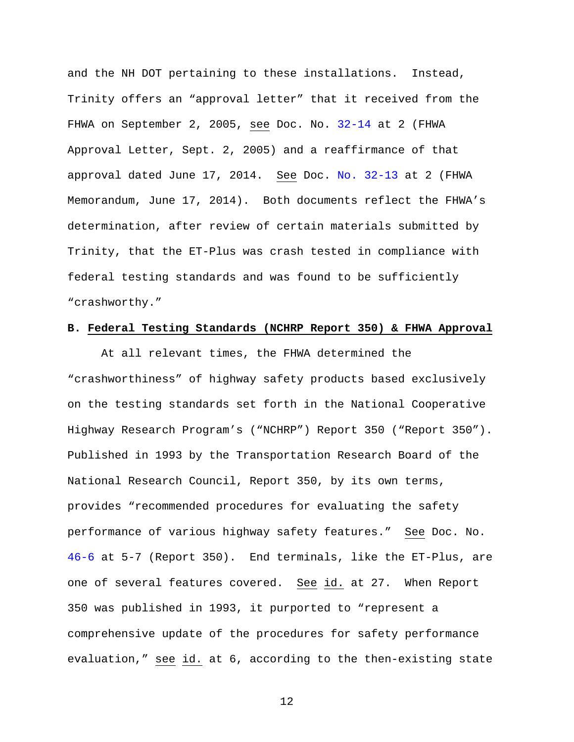and the NH DOT pertaining to these installations. Instead, Trinity offers an "approval letter" that it received from the FHWA on September 2, 2005, see Doc. No. 32-14 at 2 (FHWA Approval Letter, Sept. 2, 2005) and a reaffirmance of that approval dated June 17, 2014. See Doc. No. 32-13 at 2 (FHWA Memorandum, June 17, 2014). Both documents reflect the FHWA's determination, after review of certain materials submitted by Trinity, that the ET-Plus was crash tested in compliance with federal testing standards and was found to be sufficiently "crashworthy."

#### **B. Federal Testing Standards (NCHRP Report 350) & FHWA Approval**

At all relevant times, the FHWA determined the "crashworthiness" of highway safety products based exclusively on the testing standards set forth in the National Cooperative Highway Research Program's ("NCHRP") Report 350 ("Report 350"). Published in 1993 by the Transportation Research Board of the National Research Council, Report 350, by its own terms, provides "recommended procedures for evaluating the safety performance of various highway safety features." See Doc. No. 46-6 at 5-7 (Report 350). End terminals, like the ET-Plus, are one of several features covered. See id. at 27. When Report 350 was published in 1993, it purported to "represent a comprehensive update of the procedures for safety performance evaluation," see id. at 6, according to the then-existing state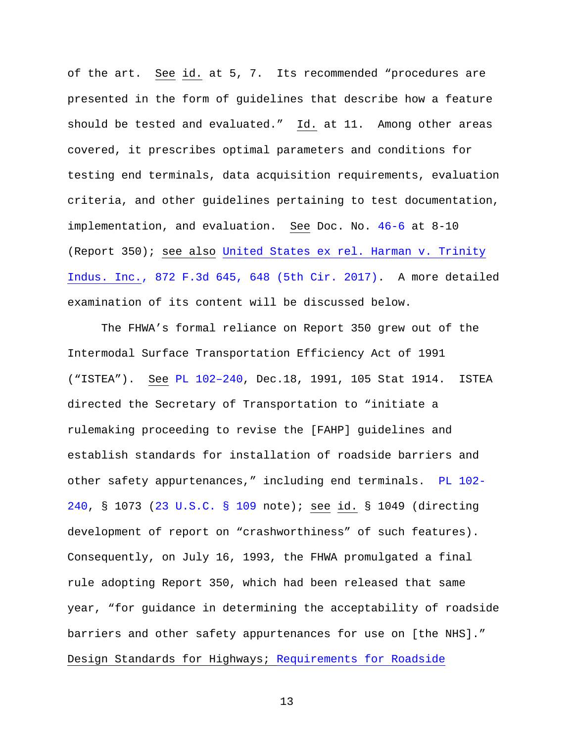of the art. See id. at 5, 7. Its recommended "procedures are presented in the form of guidelines that describe how a feature should be tested and evaluated." Id. at 11. Among other areas covered, it prescribes optimal parameters and conditions for testing end terminals, data acquisition requirements, evaluation criteria, and other guidelines pertaining to test documentation, implementation, and evaluation. See Doc. No. 46-6 at 8-10 (Report 350); see also United States ex rel. Harman v. Trinity Indus. Inc., 872 F.3d 645, 648 (5th Cir. 2017). A more detailed examination of its content will be discussed below.

The FHWA's formal reliance on Report 350 grew out of the Intermodal Surface Transportation Efficiency Act of 1991 ("ISTEA"). See PL 102–240, Dec.18, 1991, 105 Stat 1914. ISTEA directed the Secretary of Transportation to "initiate a rulemaking proceeding to revise the [FAHP] guidelines and establish standards for installation of roadside barriers and other safety appurtenances," including end terminals. PL 102- 240, § 1073 (23 U.S.C. § 109 note); see id. § 1049 (directing development of report on "crashworthiness" of such features). Consequently, on July 16, 1993, the FHWA promulgated a final rule adopting Report 350, which had been released that same year, "for guidance in determining the acceptability of roadside barriers and other safety appurtenances for use on [the NHS]." Design Standards for Highways; Requirements for Roadside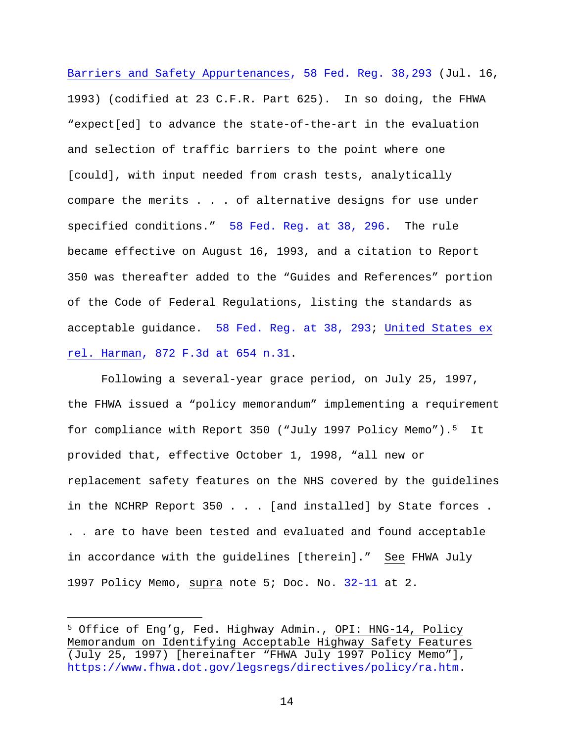Barriers and Safety Appurtenances, 58 Fed. Reg. 38,293 (Jul. 16, 1993) (codified at 23 C.F.R. Part 625). In so doing, the FHWA "expect[ed] to advance the state-of-the-art in the evaluation and selection of traffic barriers to the point where one [could], with input needed from crash tests, analytically compare the merits . . . of alternative designs for use under specified conditions." 58 Fed. Reg. at 38, 296. The rule became effective on August 16, 1993, and a citation to Report 350 was thereafter added to the "Guides and References" portion of the Code of Federal Regulations, listing the standards as acceptable guidance. 58 Fed. Reg. at 38, 293; United States ex rel. Harman, 872 F.3d at 654 n.31.

Following a several-year grace period, on July 25, 1997, the FHWA issued a "policy memorandum" implementing a requirement for compliance with Report 350 ("July 1997 Policy Memo").5 It provided that, effective October 1, 1998, "all new or replacement safety features on the NHS covered by the guidelines in the NCHRP Report 350 . . . [and installed] by State forces . . . are to have been tested and evaluated and found acceptable in accordance with the guidelines [therein]." See FHWA July 1997 Policy Memo, supra note 5; Doc. No. 32-11 at 2.

Ĩ.

<sup>5</sup> Office of Eng'g, Fed. Highway Admin., OPI: HNG-14, Policy Memorandum on Identifying Acceptable Highway Safety Features (July 25, 1997) [hereinafter "FHWA July 1997 Policy Memo"], https://www.fhwa.dot.gov/legsregs/directives/policy/ra.htm.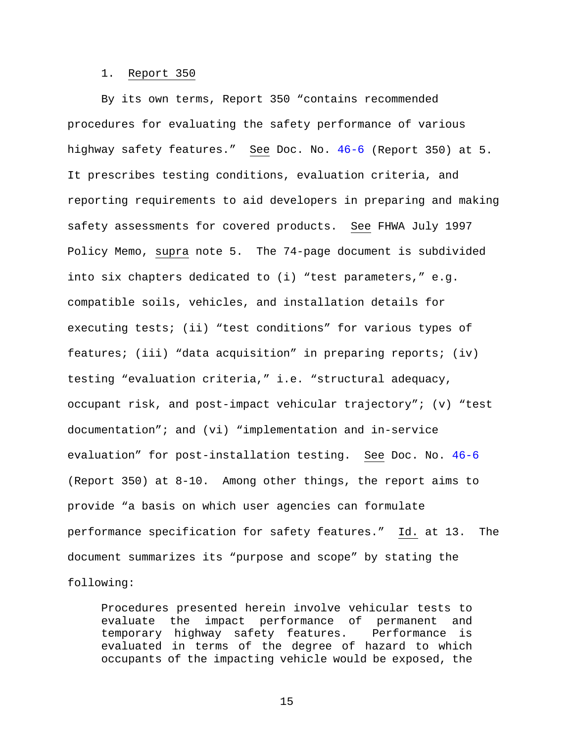#### 1. Report 350

By its own terms, Report 350 "contains recommended procedures for evaluating the safety performance of various highway safety features." See Doc. No. 46-6 (Report 350) at 5. It prescribes testing conditions, evaluation criteria, and reporting requirements to aid developers in preparing and making safety assessments for covered products. See FHWA July 1997 Policy Memo, supra note 5. The 74-page document is subdivided into six chapters dedicated to (i) "test parameters," e.g. compatible soils, vehicles, and installation details for executing tests; (ii) "test conditions" for various types of features; (iii) "data acquisition" in preparing reports; (iv) testing "evaluation criteria," i.e. "structural adequacy, occupant risk, and post-impact vehicular trajectory"; (v) "test documentation"; and (vi) "implementation and in-service evaluation" for post-installation testing. See Doc. No. 46-6 (Report 350) at 8-10. Among other things, the report aims to provide "a basis on which user agencies can formulate performance specification for safety features." Id. at 13. The document summarizes its "purpose and scope" by stating the following:

Procedures presented herein involve vehicular tests to evaluate the impact performance of permanent and<br>temporary highway safety features. Performance is temporary highway safety features. evaluated in terms of the degree of hazard to which occupants of the impacting vehicle would be exposed, the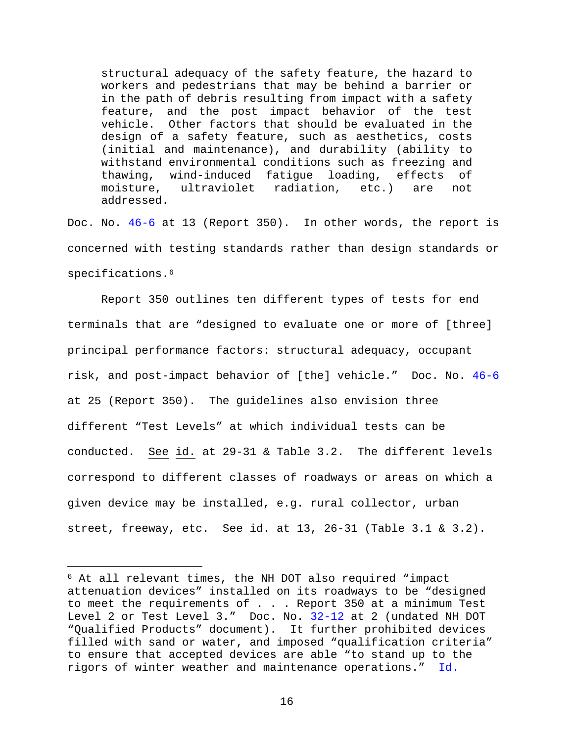structural adequacy of the safety feature, the hazard to workers and pedestrians that may be behind a barrier or in the path of debris resulting from impact with a safety feature, and the post impact behavior of the test vehicle. Other factors that should be evaluated in the design of a safety feature, such as aesthetics, costs (initial and maintenance), and durability (ability to withstand environmental conditions such as freezing and<br>thawing, wind-induced fatique loading, effects of thawing, wind-induced fatigue loading, effects of<br>moisture, ultraviolet radiation, etc.) are not moisture, ultraviolet radiation, etc.) are not addressed.

Doc. No. 46-6 at 13 (Report 350). In other words, the report is concerned with testing standards rather than design standards or specifications.<sup>6</sup>

Report 350 outlines ten different types of tests for end terminals that are "designed to evaluate one or more of [three] principal performance factors: structural adequacy, occupant risk, and post-impact behavior of [the] vehicle." Doc. No. 46-6 at 25 (Report 350). The guidelines also envision three different "Test Levels" at which individual tests can be conducted. See id. at 29-31 & Table 3.2. The different levels correspond to different classes of roadways or areas on which a given device may be installed, e.g. rural collector, urban street, freeway, etc. See id. at 13, 26-31 (Table 3.1 & 3.2).

ī

<sup>6</sup> At all relevant times, the NH DOT also required "impact attenuation devices" installed on its roadways to be "designed to meet the requirements of . . . Report 350 at a minimum Test Level 2 or Test Level 3." Doc. No. 32-12 at 2 (undated NH DOT "Qualified Products" document). It further prohibited devices filled with sand or water, and imposed "qualification criteria" to ensure that accepted devices are able "to stand up to the rigors of winter weather and maintenance operations." Id.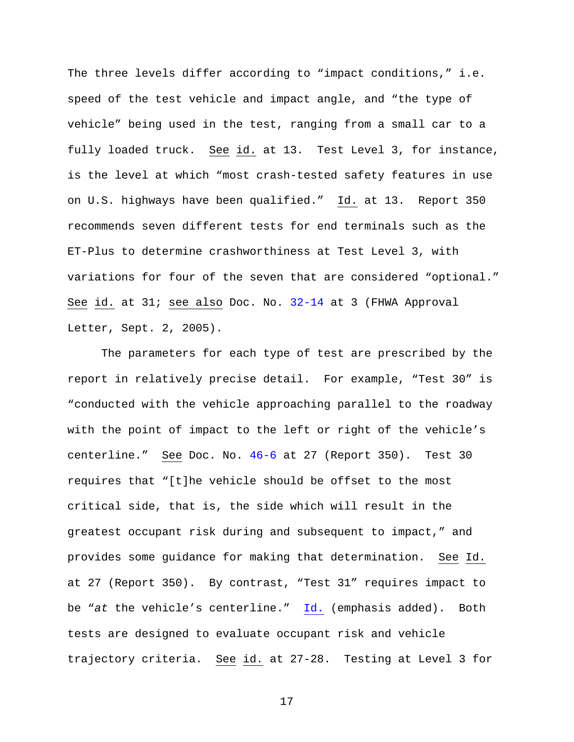The three levels differ according to "impact conditions," i.e. speed of the test vehicle and impact angle, and "the type of vehicle" being used in the test, ranging from a small car to a fully loaded truck. See id. at 13. Test Level 3, for instance, is the level at which "most crash-tested safety features in use on U.S. highways have been qualified." Id. at 13. Report 350 recommends seven different tests for end terminals such as the ET-Plus to determine crashworthiness at Test Level 3, with variations for four of the seven that are considered "optional." See id. at 31; see also Doc. No. 32-14 at 3 (FHWA Approval Letter, Sept. 2, 2005).

The parameters for each type of test are prescribed by the report in relatively precise detail. For example, "Test 30" is "conducted with the vehicle approaching parallel to the roadway with the point of impact to the left or right of the vehicle's centerline." See Doc. No. 46-6 at 27 (Report 350). Test 30 requires that "[t]he vehicle should be offset to the most critical side, that is, the side which will result in the greatest occupant risk during and subsequent to impact," and provides some guidance for making that determination. See Id. at 27 (Report 350). By contrast, "Test 31" requires impact to be "*at* the vehicle's centerline." Id. (emphasis added). Both tests are designed to evaluate occupant risk and vehicle trajectory criteria. See id. at 27-28. Testing at Level 3 for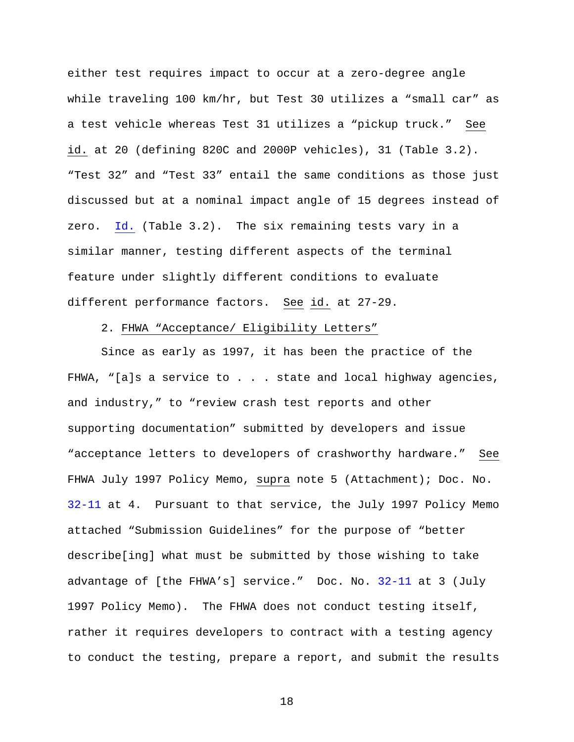either test requires impact to occur at a zero-degree angle while traveling 100 km/hr, but Test 30 utilizes a "small car" as a test vehicle whereas Test 31 utilizes a "pickup truck." See id. at 20 (defining 820C and 2000P vehicles), 31 (Table 3.2). "Test 32" and "Test 33" entail the same conditions as those just discussed but at a nominal impact angle of 15 degrees instead of zero. Id. (Table 3.2). The six remaining tests vary in a similar manner, testing different aspects of the terminal feature under slightly different conditions to evaluate different performance factors. See id. at 27-29.

#### 2. FHWA "Acceptance/ Eligibility Letters"

Since as early as 1997, it has been the practice of the FHWA, "[a]s a service to . . . state and local highway agencies, and industry," to "review crash test reports and other supporting documentation" submitted by developers and issue "acceptance letters to developers of crashworthy hardware." See FHWA July 1997 Policy Memo, supra note 5 (Attachment); Doc. No. 32-11 at 4. Pursuant to that service, the July 1997 Policy Memo attached "Submission Guidelines" for the purpose of "better describe[ing] what must be submitted by those wishing to take advantage of [the FHWA's] service." Doc. No. 32-11 at 3 (July 1997 Policy Memo). The FHWA does not conduct testing itself, rather it requires developers to contract with a testing agency to conduct the testing, prepare a report, and submit the results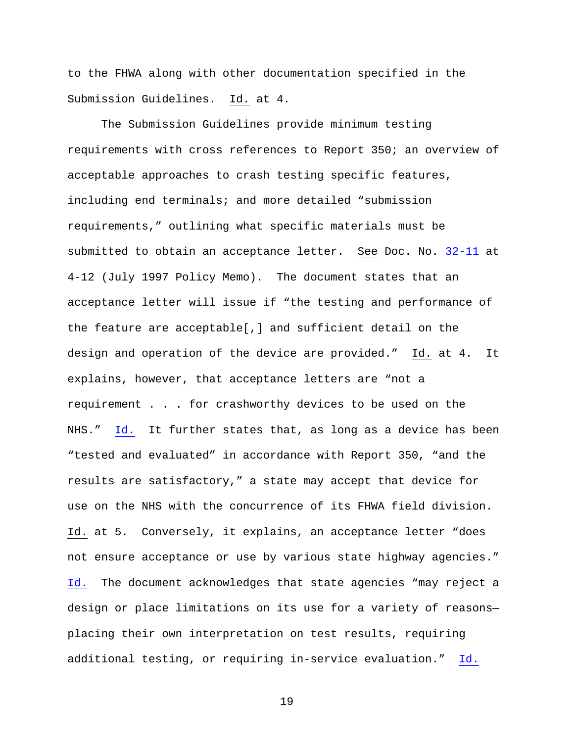to the FHWA along with other documentation specified in the Submission Guidelines. Id. at 4.

The Submission Guidelines provide minimum testing requirements with cross references to Report 350; an overview of acceptable approaches to crash testing specific features, including end terminals; and more detailed "submission requirements," outlining what specific materials must be submitted to obtain an acceptance letter. See Doc. No. 32-11 at 4-12 (July 1997 Policy Memo). The document states that an acceptance letter will issue if "the testing and performance of the feature are acceptable[,] and sufficient detail on the design and operation of the device are provided." Id. at 4. It explains, however, that acceptance letters are "not a requirement . . . for crashworthy devices to be used on the NHS." Id. It further states that, as long as a device has been "tested and evaluated" in accordance with Report 350, "and the results are satisfactory," a state may accept that device for use on the NHS with the concurrence of its FHWA field division. Id. at 5. Conversely, it explains, an acceptance letter "does not ensure acceptance or use by various state highway agencies." Id. The document acknowledges that state agencies "may reject a design or place limitations on its use for a variety of reasons placing their own interpretation on test results, requiring additional testing, or requiring in-service evaluation." Id.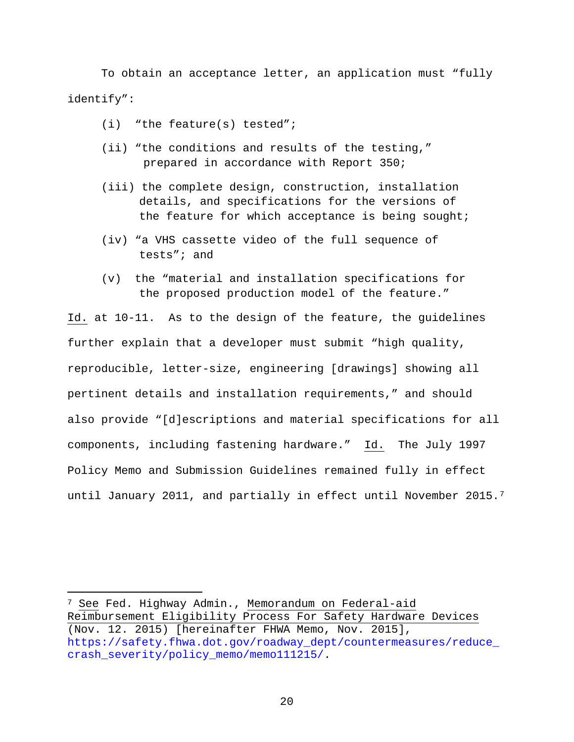To obtain an acceptance letter, an application must "fully identify":

- (i) "the feature(s) tested";
- (ii) "the conditions and results of the testing," prepared in accordance with Report 350;
- (iii) the complete design, construction, installation details, and specifications for the versions of the feature for which acceptance is being sought;
- (iv) "a VHS cassette video of the full sequence of tests"; and
- (v) the "material and installation specifications for the proposed production model of the feature."

Id. at 10-11. As to the design of the feature, the guidelines further explain that a developer must submit "high quality, reproducible, letter-size, engineering [drawings] showing all pertinent details and installation requirements," and should also provide "[d]escriptions and material specifications for all components, including fastening hardware." Id. The July 1997 Policy Memo and Submission Guidelines remained fully in effect until January 2011, and partially in effect until November 2015.<sup>7</sup>

Ĩ.

<sup>&</sup>lt;sup>7</sup> <u>See</u> Fed. Highway Admin., <u>Memorandum on Federal-aid</u> Reimbursement Eligibility Process For Safety Hardware Devices (Nov. 12. 2015) [hereinafter FHWA Memo, Nov. 2015], https://safety.fhwa.dot.gov/roadway\_dept/countermeasures/reduce\_ crash severity/policy memo/memo111215/.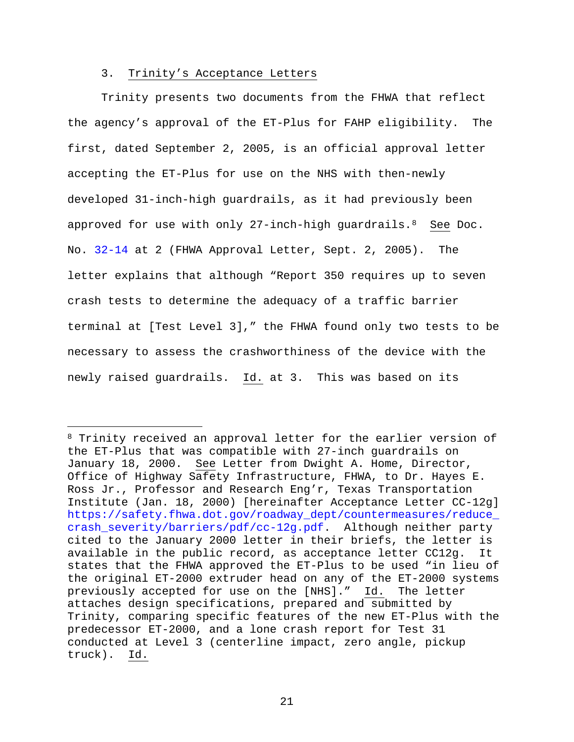### 3. Trinity's Acceptance Letters

Ĩ.

Trinity presents two documents from the FHWA that reflect the agency's approval of the ET-Plus for FAHP eligibility. The first, dated September 2, 2005, is an official approval letter accepting the ET-Plus for use on the NHS with then-newly developed 31-inch-high guardrails, as it had previously been approved for use with only 27-inch-high guardrails.  $8$  See Doc. No. 32-14 at 2 (FHWA Approval Letter, Sept. 2, 2005). The letter explains that although "Report 350 requires up to seven crash tests to determine the adequacy of a traffic barrier terminal at [Test Level 3]," the FHWA found only two tests to be necessary to assess the crashworthiness of the device with the newly raised guardrails. Id. at 3. This was based on its

<sup>8</sup> Trinity received an approval letter for the earlier version of the ET-Plus that was compatible with 27-inch guardrails on January 18, 2000. See Letter from Dwight A. Home, Director, Office of Highway Safety Infrastructure, FHWA, to Dr. Hayes E. Ross Jr., Professor and Research Eng'r, Texas Transportation Institute (Jan. 18, 2000) [hereinafter Acceptance Letter CC-12g] https://safety.fhwa.dot.gov/roadway\_dept/countermeasures/reduce\_ crash\_severity/barriers/pdf/cc-12g.pdf. Although neither party cited to the January 2000 letter in their briefs, the letter is available in the public record, as acceptance letter CC12g. It states that the FHWA approved the ET-Plus to be used "in lieu of the original ET-2000 extruder head on any of the ET-2000 systems previously accepted for use on the [NHS]." Id. The letter attaches design specifications, prepared and submitted by Trinity, comparing specific features of the new ET-Plus with the predecessor ET-2000, and a lone crash report for Test 31 conducted at Level 3 (centerline impact, zero angle, pickup truck). Id.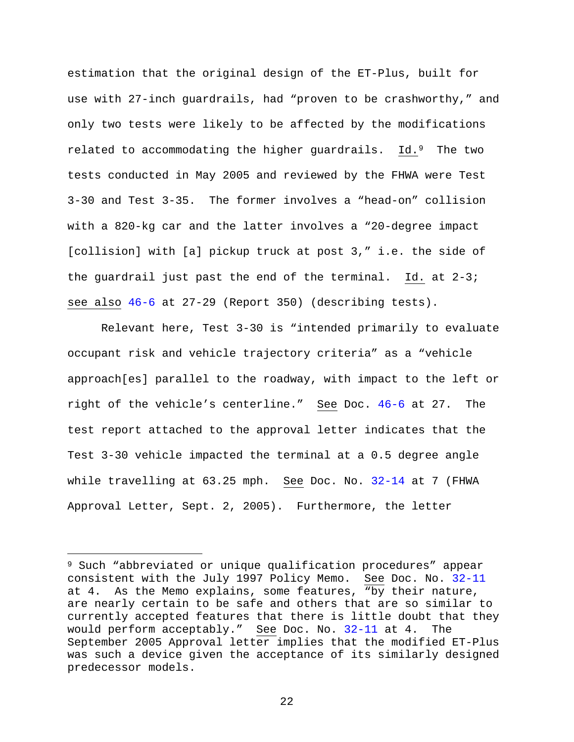estimation that the original design of the ET-Plus, built for use with 27-inch guardrails, had "proven to be crashworthy," and only two tests were likely to be affected by the modifications related to accommodating the higher guardrails. Id.<sup>9</sup> The two tests conducted in May 2005 and reviewed by the FHWA were Test 3-30 and Test 3-35. The former involves a "head-on" collision with a 820-kg car and the latter involves a "20-degree impact [collision] with [a] pickup truck at post 3," i.e. the side of the guardrail just past the end of the terminal. Id. at 2-3; see also 46-6 at 27-29 (Report 350) (describing tests).

Relevant here, Test 3-30 is "intended primarily to evaluate occupant risk and vehicle trajectory criteria" as a "vehicle approach[es] parallel to the roadway, with impact to the left or right of the vehicle's centerline." See Doc. 46-6 at 27. The test report attached to the approval letter indicates that the Test 3-30 vehicle impacted the terminal at a 0.5 degree angle while travelling at 63.25 mph. See Doc. No. 32-14 at 7 (FHWA Approval Letter, Sept. 2, 2005). Furthermore, the letter

Ĩ.

<sup>9</sup> Such "abbreviated or unique qualification procedures" appear consistent with the July 1997 Policy Memo. See Doc. No. 32-11 at 4. As the Memo explains, some features, "by their nature, are nearly certain to be safe and others that are so similar to currently accepted features that there is little doubt that they would perform acceptably." See Doc. No. 32-11 at 4. The September 2005 Approval letter implies that the modified ET-Plus was such a device given the acceptance of its similarly designed predecessor models.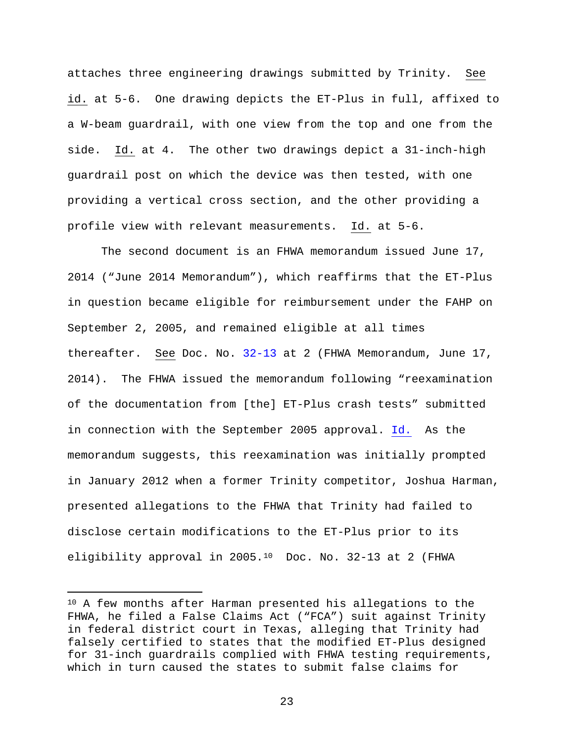attaches three engineering drawings submitted by Trinity. See id. at 5-6. One drawing depicts the ET-Plus in full, affixed to a W-beam guardrail, with one view from the top and one from the side. Id. at 4. The other two drawings depict a 31-inch-high guardrail post on which the device was then tested, with one providing a vertical cross section, and the other providing a profile view with relevant measurements. Id. at 5-6.

The second document is an FHWA memorandum issued June 17, 2014 ("June 2014 Memorandum"), which reaffirms that the ET-Plus in question became eligible for reimbursement under the FAHP on September 2, 2005, and remained eligible at all times thereafter. See Doc. No. 32-13 at 2 (FHWA Memorandum, June 17, 2014). The FHWA issued the memorandum following "reexamination of the documentation from [the] ET-Plus crash tests" submitted in connection with the September 2005 approval. Id. As the memorandum suggests, this reexamination was initially prompted in January 2012 when a former Trinity competitor, Joshua Harman, presented allegations to the FHWA that Trinity had failed to disclose certain modifications to the ET-Plus prior to its eligibility approval in 2005.10 Doc. No. 32-13 at 2 (FHWA

Ĩ.

<sup>&</sup>lt;sup>10</sup> A few months after Harman presented his allegations to the FHWA, he filed a False Claims Act ("FCA") suit against Trinity in federal district court in Texas, alleging that Trinity had falsely certified to states that the modified ET-Plus designed for 31-inch guardrails complied with FHWA testing requirements, which in turn caused the states to submit false claims for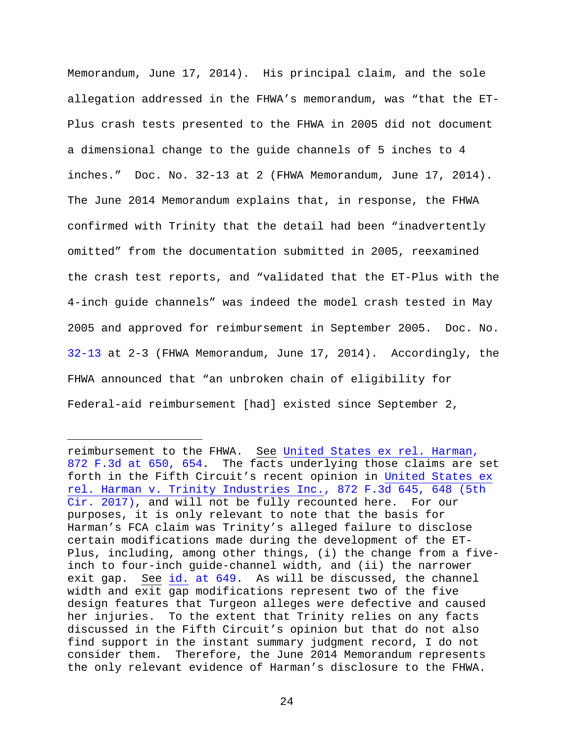Memorandum, June 17, 2014). His principal claim, and the sole allegation addressed in the FHWA's memorandum, was "that the ET-Plus crash tests presented to the FHWA in 2005 did not document a dimensional change to the guide channels of 5 inches to 4 inches." Doc. No. 32-13 at 2 (FHWA Memorandum, June 17, 2014). The June 2014 Memorandum explains that, in response, the FHWA confirmed with Trinity that the detail had been "inadvertently omitted" from the documentation submitted in 2005, reexamined the crash test reports, and "validated that the ET-Plus with the 4-inch guide channels" was indeed the model crash tested in May 2005 and approved for reimbursement in September 2005. Doc. No. 32-13 at 2-3 (FHWA Memorandum, June 17, 2014). Accordingly, the FHWA announced that "an unbroken chain of eligibility for Federal-aid reimbursement [had] existed since September 2,

Ĩ.

reimbursement to the FHWA. See United States ex rel. Harman, 872 F.3d at 650, 654. The facts underlying those claims are set forth in the Fifth Circuit's recent opinion in United States ex rel. Harman v. Trinity Industries Inc., 872 F.3d 645, 648 (5th Cir. 2017), and will not be fully recounted here. For our purposes, it is only relevant to note that the basis for Harman's FCA claim was Trinity's alleged failure to disclose certain modifications made during the development of the ET-Plus, including, among other things, (i) the change from a fiveinch to four-inch guide-channel width, and (ii) the narrower exit gap. See id. at 649. As will be discussed, the channel width and exit gap modifications represent two of the five design features that Turgeon alleges were defective and caused her injuries. To the extent that Trinity relies on any facts discussed in the Fifth Circuit's opinion but that do not also find support in the instant summary judgment record, I do not consider them. Therefore, the June 2014 Memorandum represents the only relevant evidence of Harman's disclosure to the FHWA.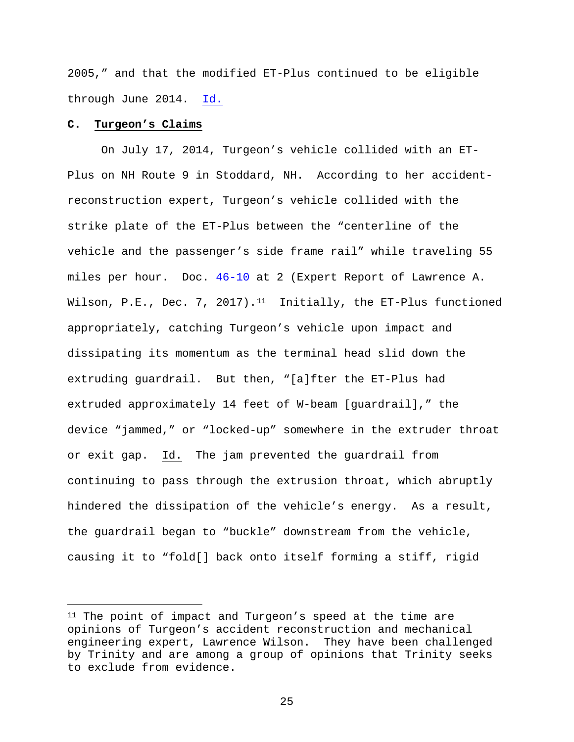2005," and that the modified ET-Plus continued to be eligible through June 2014. Id.

### **C. Turgeon's Claims**

Ĩ.

On July 17, 2014, Turgeon's vehicle collided with an ET-Plus on NH Route 9 in Stoddard, NH. According to her accidentreconstruction expert, Turgeon's vehicle collided with the strike plate of the ET-Plus between the "centerline of the vehicle and the passenger's side frame rail" while traveling 55 miles per hour. Doc. 46-10 at 2 (Expert Report of Lawrence A. Wilson, P.E., Dec. 7, 2017).<sup>11</sup> Initially, the ET-Plus functioned appropriately, catching Turgeon's vehicle upon impact and dissipating its momentum as the terminal head slid down the extruding guardrail. But then, "[a]fter the ET-Plus had extruded approximately 14 feet of W-beam [guardrail]," the device "jammed," or "locked-up" somewhere in the extruder throat or exit gap. Id. The jam prevented the guardrail from continuing to pass through the extrusion throat, which abruptly hindered the dissipation of the vehicle's energy. As a result, the guardrail began to "buckle" downstream from the vehicle, causing it to "fold[] back onto itself forming a stiff, rigid

<sup>11</sup> The point of impact and Turgeon's speed at the time are opinions of Turgeon's accident reconstruction and mechanical engineering expert, Lawrence Wilson. They have been challenged by Trinity and are among a group of opinions that Trinity seeks to exclude from evidence.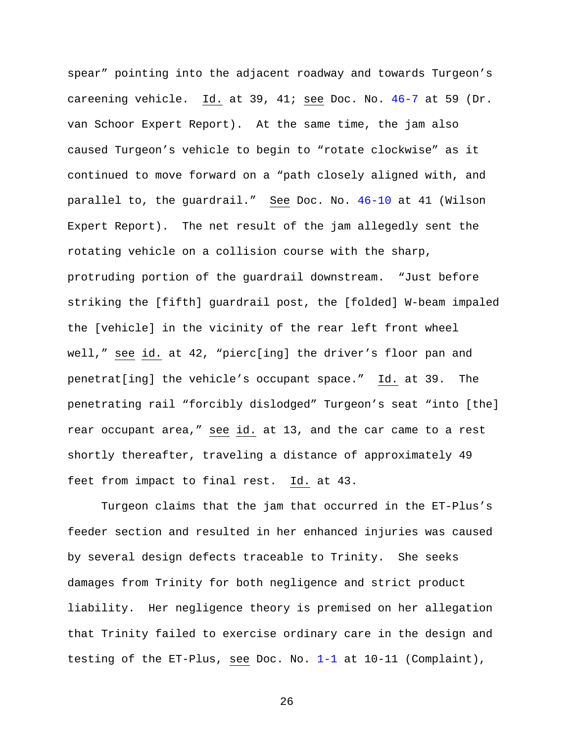spear" pointing into the adjacent roadway and towards Turgeon's careening vehicle. Id. at 39, 41; see Doc. No. 46-7 at 59 (Dr. van Schoor Expert Report). At the same time, the jam also caused Turgeon's vehicle to begin to "rotate clockwise" as it continued to move forward on a "path closely aligned with, and parallel to, the guardrail." See Doc. No. 46-10 at 41 (Wilson Expert Report). The net result of the jam allegedly sent the rotating vehicle on a collision course with the sharp, protruding portion of the guardrail downstream. "Just before striking the [fifth] guardrail post, the [folded] W-beam impaled the [vehicle] in the vicinity of the rear left front wheel well," see id. at 42, "pierc[ing] the driver's floor pan and penetrat[ing] the vehicle's occupant space." Id. at 39. The penetrating rail "forcibly dislodged" Turgeon's seat "into [the] rear occupant area," see id. at 13, and the car came to a rest shortly thereafter, traveling a distance of approximately 49 feet from impact to final rest. Id. at 43.

Turgeon claims that the jam that occurred in the ET-Plus's feeder section and resulted in her enhanced injuries was caused by several design defects traceable to Trinity. She seeks damages from Trinity for both negligence and strict product liability. Her negligence theory is premised on her allegation that Trinity failed to exercise ordinary care in the design and testing of the ET-Plus, see Doc. No. 1-1 at 10-11 (Complaint),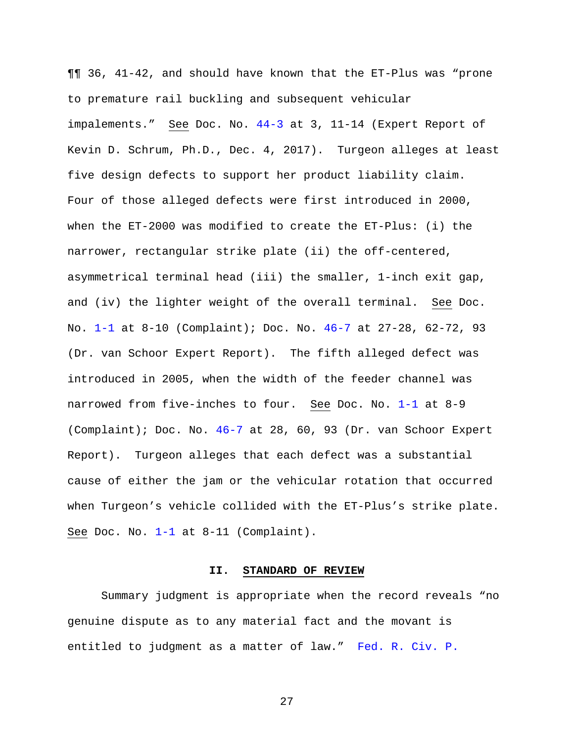¶¶ 36, 41-42, and should have known that the ET-Plus was "prone to premature rail buckling and subsequent vehicular impalements." See Doc. No. 44-3 at 3, 11-14 (Expert Report of Kevin D. Schrum, Ph.D., Dec. 4, 2017). Turgeon alleges at least five design defects to support her product liability claim. Four of those alleged defects were first introduced in 2000, when the ET-2000 was modified to create the ET-Plus: (i) the narrower, rectangular strike plate (ii) the off-centered, asymmetrical terminal head (iii) the smaller, 1-inch exit gap, and (iv) the lighter weight of the overall terminal. See Doc. No. 1-1 at 8-10 (Complaint); Doc. No. 46-7 at 27-28, 62-72, 93 (Dr. van Schoor Expert Report). The fifth alleged defect was introduced in 2005, when the width of the feeder channel was narrowed from five-inches to four. See Doc. No. 1-1 at 8-9 (Complaint); Doc. No. 46-7 at 28, 60, 93 (Dr. van Schoor Expert Report). Turgeon alleges that each defect was a substantial cause of either the jam or the vehicular rotation that occurred when Turgeon's vehicle collided with the ET-Plus's strike plate. See Doc. No.  $1-1$  at  $8-11$  (Complaint).

#### **II. STANDARD OF REVIEW**

Summary judgment is appropriate when the record reveals "no genuine dispute as to any material fact and the movant is entitled to judgment as a matter of law." Fed. R. Civ. P.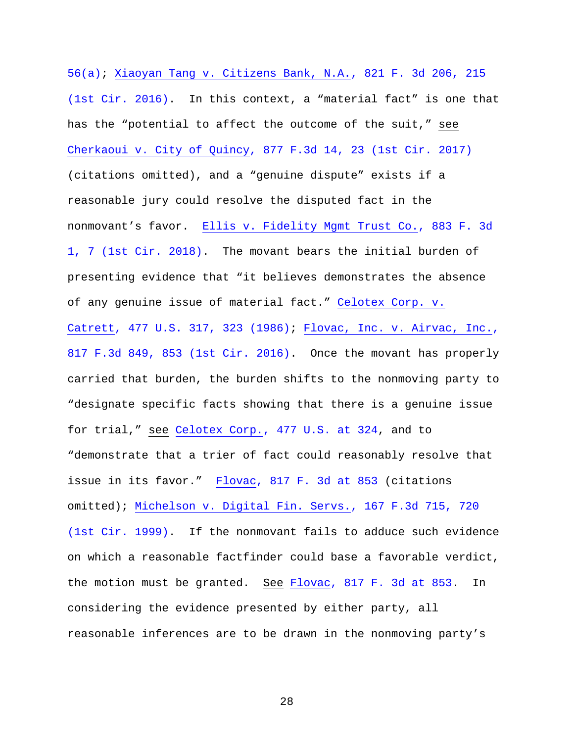56(a); Xiaoyan Tang v. Citizens Bank, N.A., 821 F. 3d 206, 215 (1st Cir. 2016). In this context, a "material fact" is one that has the "potential to affect the outcome of the suit," see Cherkaoui v. City of Quincy, 877 F.3d 14, 23 (1st Cir. 2017) (citations omitted), and a "genuine dispute" exists if a reasonable jury could resolve the disputed fact in the nonmovant's favor. Ellis v. Fidelity Mgmt Trust Co., 883 F. 3d 1, 7 (1st Cir. 2018). The movant bears the initial burden of presenting evidence that "it believes demonstrates the absence of any genuine issue of material fact." Celotex Corp. v. Catrett, 477 U.S. 317, 323 (1986); Flovac, Inc. v. Airvac, Inc., 817 F.3d 849, 853 (1st Cir. 2016). Once the movant has properly carried that burden, the burden shifts to the nonmoving party to "designate specific facts showing that there is a genuine issue for trial," see Celotex Corp., 477 U.S. at 324, and to "demonstrate that a trier of fact could reasonably resolve that issue in its favor." Flovac, 817 F. 3d at 853 (citations omitted); Michelson v. Digital Fin. Servs., 167 F.3d 715, 720 (1st Cir. 1999). If the nonmovant fails to adduce such evidence on which a reasonable factfinder could base a favorable verdict, the motion must be granted. See Flovac, 817 F. 3d at 853. In considering the evidence presented by either party, all reasonable inferences are to be drawn in the nonmoving party's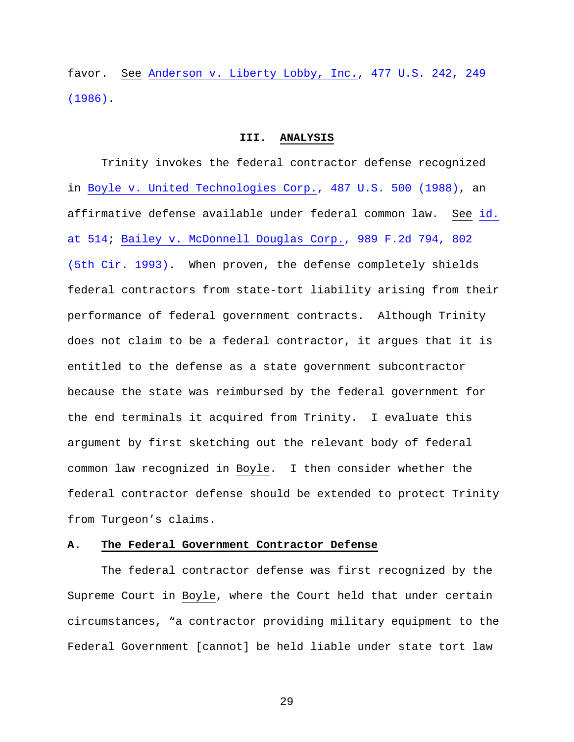favor. See Anderson v. Liberty Lobby, Inc., 477 U.S. 242, 249 (1986).

#### **III. ANALYSIS**

Trinity invokes the federal contractor defense recognized in Boyle v. United Technologies Corp., 487 U.S. 500 (1988), an affirmative defense available under federal common law. See id. at 514; Bailey v. McDonnell Douglas Corp., 989 F.2d 794, 802 (5th Cir. 1993). When proven, the defense completely shields federal contractors from state-tort liability arising from their performance of federal government contracts. Although Trinity does not claim to be a federal contractor, it argues that it is entitled to the defense as a state government subcontractor because the state was reimbursed by the federal government for the end terminals it acquired from Trinity. I evaluate this argument by first sketching out the relevant body of federal common law recognized in Boyle. I then consider whether the federal contractor defense should be extended to protect Trinity from Turgeon's claims.

#### **A. The Federal Government Contractor Defense**

The federal contractor defense was first recognized by the Supreme Court in Boyle, where the Court held that under certain circumstances, "a contractor providing military equipment to the Federal Government [cannot] be held liable under state tort law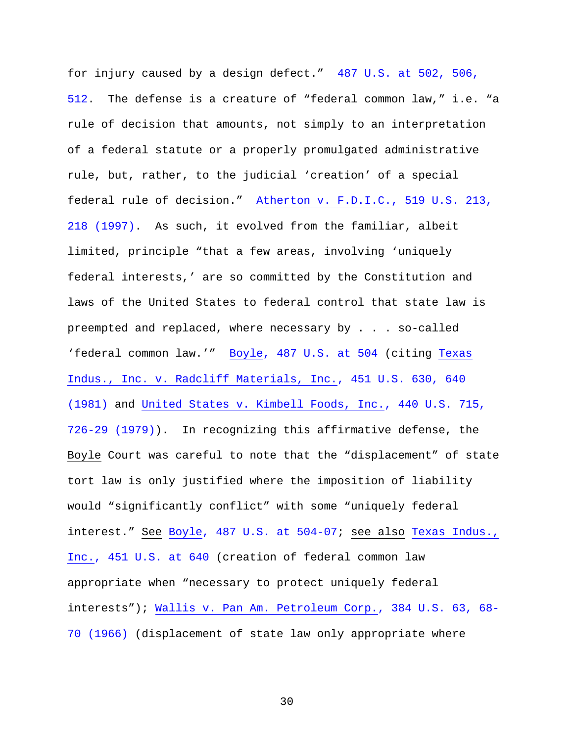for injury caused by a design defect." 487 U.S. at 502, 506, 512. The defense is a creature of "federal common law," i.e. "a rule of decision that amounts, not simply to an interpretation of a federal statute or a properly promulgated administrative rule, but, rather, to the judicial 'creation' of a special federal rule of decision." Atherton v. F.D.I.C., 519 U.S. 213, 218 (1997). As such, it evolved from the familiar, albeit limited, principle "that a few areas, involving 'uniquely federal interests,' are so committed by the Constitution and laws of the United States to federal control that state law is preempted and replaced, where necessary by . . . so-called 'federal common law.'" Boyle, 487 U.S. at 504 (citing Texas Indus., Inc. v. Radcliff Materials, Inc., 451 U.S. 630, 640 (1981) and United States v. Kimbell Foods, Inc., 440 U.S. 715, 726-29 (1979)). In recognizing this affirmative defense, the Boyle Court was careful to note that the "displacement" of state tort law is only justified where the imposition of liability would "significantly conflict" with some "uniquely federal interest." See Boyle, 487 U.S. at 504-07; see also Texas Indus., Inc., 451 U.S. at 640 (creation of federal common law appropriate when "necessary to protect uniquely federal interests"); Wallis v. Pan Am. Petroleum Corp., 384 U.S. 63, 68- 70 (1966) (displacement of state law only appropriate where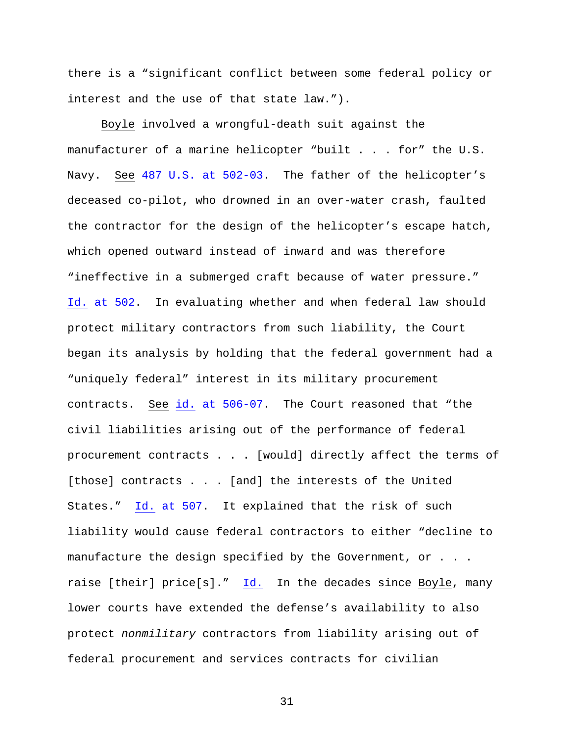there is a "significant conflict between some federal policy or interest and the use of that state law.").

Boyle involved a wrongful-death suit against the manufacturer of a marine helicopter "built . . . for" the U.S. Navy. See 487 U.S. at 502-03. The father of the helicopter's deceased co-pilot, who drowned in an over-water crash, faulted the contractor for the design of the helicopter's escape hatch, which opened outward instead of inward and was therefore "ineffective in a submerged craft because of water pressure." Id. at 502. In evaluating whether and when federal law should protect military contractors from such liability, the Court began its analysis by holding that the federal government had a "uniquely federal" interest in its military procurement contracts. See id. at 506-07. The Court reasoned that "the civil liabilities arising out of the performance of federal procurement contracts . . . [would] directly affect the terms of [those] contracts . . . [and] the interests of the United States." Id. at 507. It explained that the risk of such liability would cause federal contractors to either "decline to manufacture the design specified by the Government, or . . . raise [their] price[s]." Id. In the decades since Boyle, many lower courts have extended the defense's availability to also protect *nonmilitary* contractors from liability arising out of federal procurement and services contracts for civilian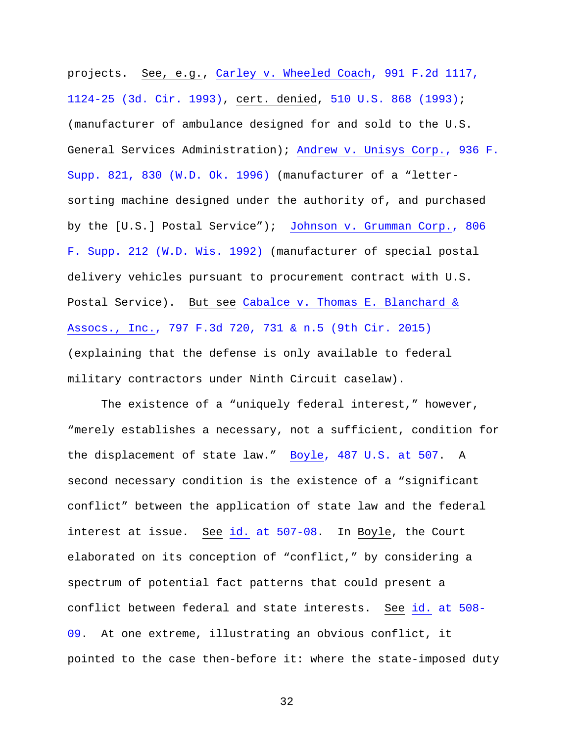projects. See, e.g., Carley v. Wheeled Coach, 991 F.2d 1117, 1124-25 (3d. Cir. 1993), cert. denied, 510 U.S. 868 (1993); (manufacturer of ambulance designed for and sold to the U.S. General Services Administration); Andrew v. Unisys Corp., 936 F. Supp. 821, 830 (W.D. Ok. 1996) (manufacturer of a "lettersorting machine designed under the authority of, and purchased by the [U.S.] Postal Service"); Johnson v. Grumman Corp., 806 F. Supp. 212 (W.D. Wis. 1992) (manufacturer of special postal delivery vehicles pursuant to procurement contract with U.S. Postal Service). But see Cabalce v. Thomas E. Blanchard & Assocs., Inc., 797 F.3d 720, 731 & n.5 (9th Cir. 2015) (explaining that the defense is only available to federal military contractors under Ninth Circuit caselaw).

The existence of a "uniquely federal interest," however, "merely establishes a necessary, not a sufficient, condition for the displacement of state law." Boyle, 487 U.S. at 507. A second necessary condition is the existence of a "significant conflict" between the application of state law and the federal interest at issue. See id. at 507-08. In Boyle, the Court elaborated on its conception of "conflict," by considering a spectrum of potential fact patterns that could present a conflict between federal and state interests. See id. at 508- 09. At one extreme, illustrating an obvious conflict, it pointed to the case then-before it: where the state-imposed duty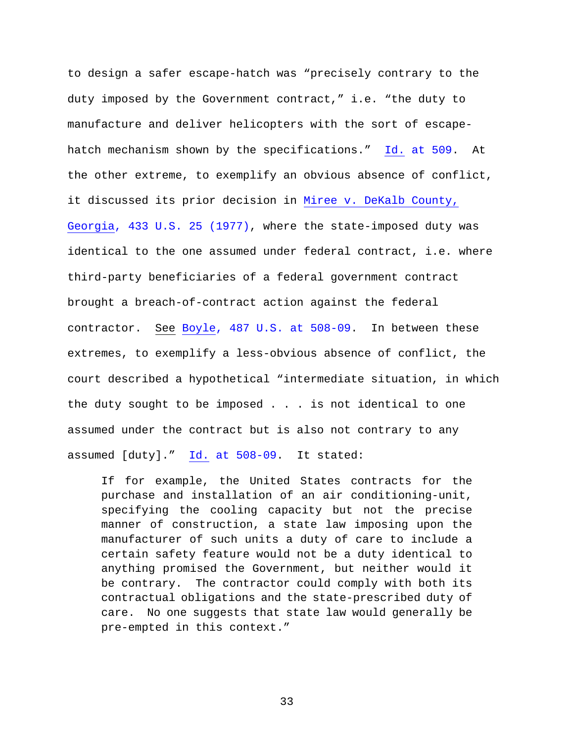to design a safer escape-hatch was "precisely contrary to the duty imposed by the Government contract," i.e. "the duty to manufacture and deliver helicopters with the sort of escapehatch mechanism shown by the specifications." Id. at 509. At the other extreme, to exemplify an obvious absence of conflict, it discussed its prior decision in Miree v. DeKalb County, Georgia, 433 U.S. 25 (1977), where the state-imposed duty was identical to the one assumed under federal contract, i.e. where third-party beneficiaries of a federal government contract brought a breach-of-contract action against the federal contractor. See Boyle, 487 U.S. at 508-09. In between these extremes, to exemplify a less-obvious absence of conflict, the court described a hypothetical "intermediate situation, in which the duty sought to be imposed . . . is not identical to one assumed under the contract but is also not contrary to any assumed [duty]." Id. at 508-09. It stated:

If for example, the United States contracts for the purchase and installation of an air conditioning-unit, specifying the cooling capacity but not the precise manner of construction, a state law imposing upon the manufacturer of such units a duty of care to include a certain safety feature would not be a duty identical to anything promised the Government, but neither would it be contrary. The contractor could comply with both its contractual obligations and the state-prescribed duty of care. No one suggests that state law would generally be pre-empted in this context."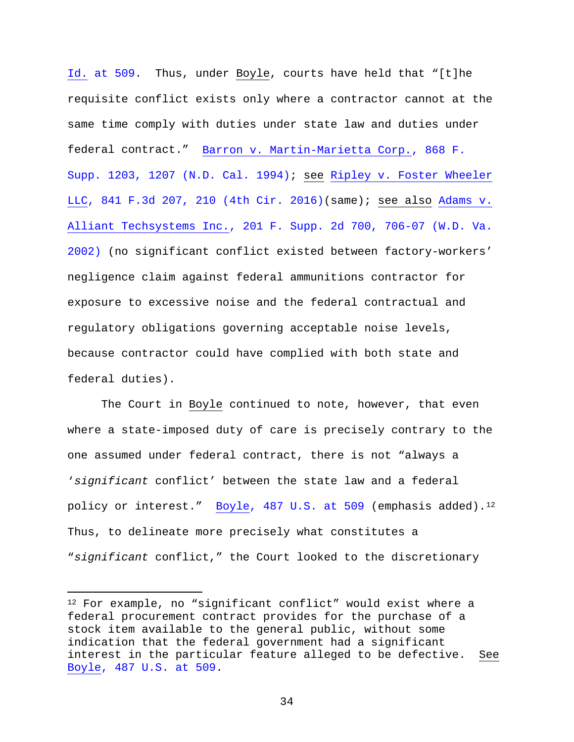Id. at 509. Thus, under Boyle, courts have held that "[t]he requisite conflict exists only where a contractor cannot at the same time comply with duties under state law and duties under federal contract." Barron v. Martin-Marietta Corp., 868 F. Supp. 1203, 1207 (N.D. Cal. 1994); see Ripley v. Foster Wheeler LLC, 841 F.3d 207, 210 (4th Cir. 2016)(same); see also Adams v. Alliant Techsystems Inc., 201 F. Supp. 2d 700, 706-07 (W.D. Va. 2002) (no significant conflict existed between factory-workers' negligence claim against federal ammunitions contractor for exposure to excessive noise and the federal contractual and regulatory obligations governing acceptable noise levels, because contractor could have complied with both state and federal duties).

The Court in Boyle continued to note, however, that even where a state-imposed duty of care is precisely contrary to the one assumed under federal contract, there is not "always a '*significant* conflict' between the state law and a federal policy or interest." Boyle,  $487 \text{ U.S. at } 509$  (emphasis added).<sup>12</sup> Thus, to delineate more precisely what constitutes a "*significant* conflict," the Court looked to the discretionary

Ĩ.

<sup>&</sup>lt;sup>12</sup> For example, no "significant conflict" would exist where a federal procurement contract provides for the purchase of a stock item available to the general public, without some indication that the federal government had a significant interest in the particular feature alleged to be defective. See Boyle, 487 U.S. at 509.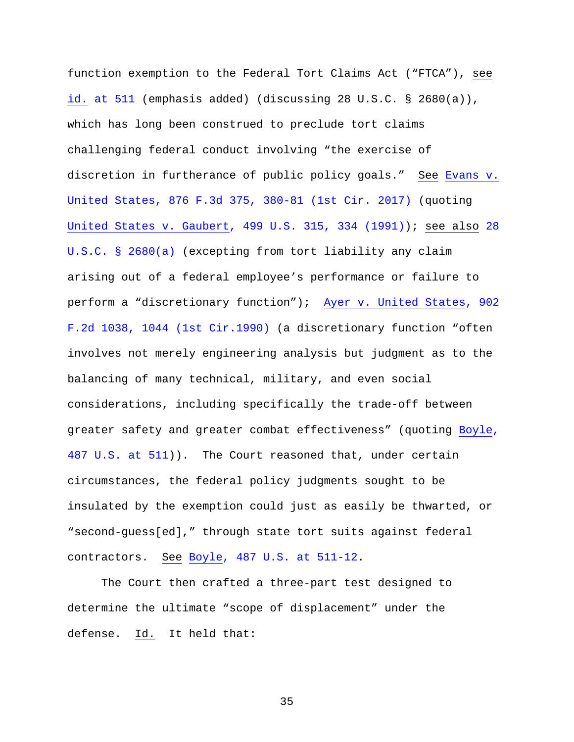function exemption to the Federal Tort Claims Act ("FTCA"), see id. at 511 (emphasis added) (discussing 28 U.S.C. § 2680(a)), which has long been construed to preclude tort claims challenging federal conduct involving "the exercise of discretion in furtherance of public policy goals." See Evans v. United States, 876 F.3d 375, 380-81 (1st Cir. 2017) (quoting United States v. Gaubert, 499 U.S. 315, 334 (1991)); see also 28 U.S.C. § 2680(a) (excepting from tort liability any claim arising out of a federal employee's performance or failure to perform a "discretionary function"); Ayer v. United States, 902 F.2d 1038, 1044 (1st Cir.1990) (a discretionary function "often involves not merely engineering analysis but judgment as to the balancing of many technical, military, and even social considerations, including specifically the trade-off between greater safety and greater combat effectiveness" (quoting Boyle, 487 U.S. at 511)). The Court reasoned that, under certain circumstances, the federal policy judgments sought to be insulated by the exemption could just as easily be thwarted, or "second-guess[ed]," through state tort suits against federal contractors. See Boyle, 487 U.S. at 511-12.

The Court then crafted a three-part test designed to determine the ultimate "scope of displacement" under the defense. Id. It held that: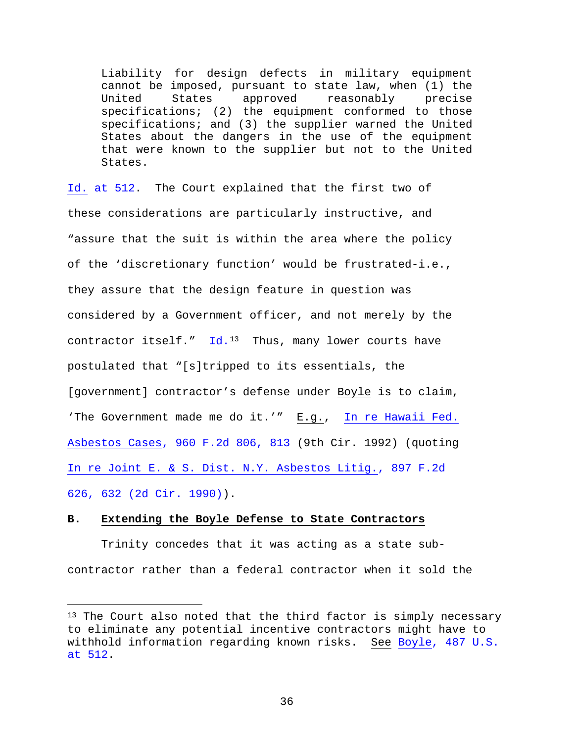Liability for design defects in military equipment cannot be imposed, pursuant to state law, when (1) the United States approved reasonably precise specifications; (2) the equipment conformed to those specifications; and (3) the supplier warned the United States about the dangers in the use of the equipment that were known to the supplier but not to the United States.

Id. at 512. The Court explained that the first two of these considerations are particularly instructive, and "assure that the suit is within the area where the policy of the 'discretionary function' would be frustrated-i.e., they assure that the design feature in question was considered by a Government officer, and not merely by the contractor itself."  $Id.^{13}$  Thus, many lower courts have postulated that "[s]tripped to its essentials, the [government] contractor's defense under Boyle is to claim, 'The Government made me do it.'" E.g., In re Hawaii Fed. Asbestos Cases, 960 F.2d 806, 813 (9th Cir. 1992) (quoting In re Joint E. & S. Dist. N.Y. Asbestos Litig., 897 F.2d 626, 632 (2d Cir. 1990)).

### **B. Extending the Boyle Defense to State Contractors**

Ĩ.

Trinity concedes that it was acting as a state subcontractor rather than a federal contractor when it sold the

<sup>&</sup>lt;sup>13</sup> The Court also noted that the third factor is simply necessary to eliminate any potential incentive contractors might have to withhold information regarding known risks. See Boyle, 487 U.S. at 512.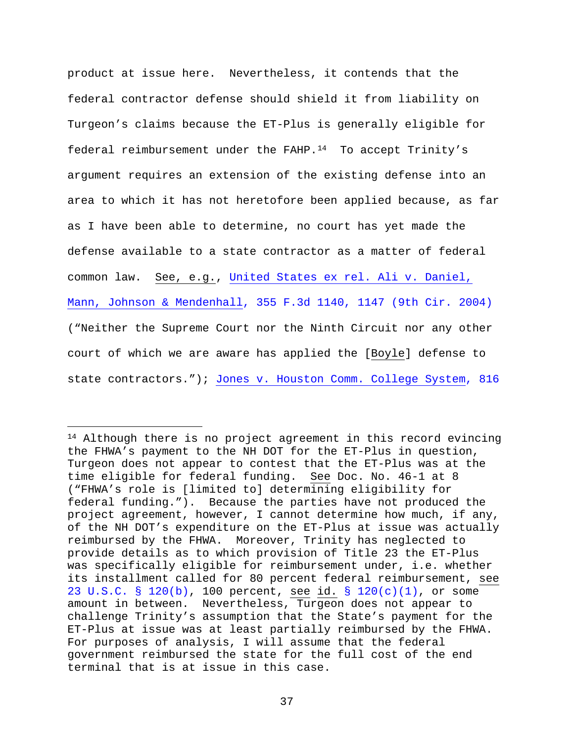product at issue here. Nevertheless, it contends that the federal contractor defense should shield it from liability on Turgeon's claims because the ET-Plus is generally eligible for federal reimbursement under the FAHP.<sup>14</sup> To accept Trinity's argument requires an extension of the existing defense into an area to which it has not heretofore been applied because, as far as I have been able to determine, no court has yet made the defense available to a state contractor as a matter of federal common law. See, e.g., United States ex rel. Ali v. Daniel, Mann, Johnson & Mendenhall, 355 F.3d 1140, 1147 (9th Cir. 2004) ("Neither the Supreme Court nor the Ninth Circuit nor any other court of which we are aware has applied the [Boyle] defense to state contractors."); Jones v. Houston Comm. College System, 816

Ĩ. <sup>14</sup> Although there is no project agreement in this record evincing the FHWA's payment to the NH DOT for the ET-Plus in question, Turgeon does not appear to contest that the ET-Plus was at the time eligible for federal funding. See Doc. No. 46-1 at 8 ("FHWA's role is [limited to] determining eligibility for federal funding."). Because the parties have not produced the project agreement, however, I cannot determine how much, if any, of the NH DOT's expenditure on the ET-Plus at issue was actually reimbursed by the FHWA. Moreover, Trinity has neglected to provide details as to which provision of Title 23 the ET-Plus was specifically eligible for reimbursement under, i.e. whether its installment called for 80 percent federal reimbursement, see 23 U.S.C. § 120(b), 100 percent, see id. § 120(c)(1), or some amount in between. Nevertheless, Turgeon does not appear to challenge Trinity's assumption that the State's payment for the ET-Plus at issue was at least partially reimbursed by the FHWA. For purposes of analysis, I will assume that the federal government reimbursed the state for the full cost of the end terminal that is at issue in this case.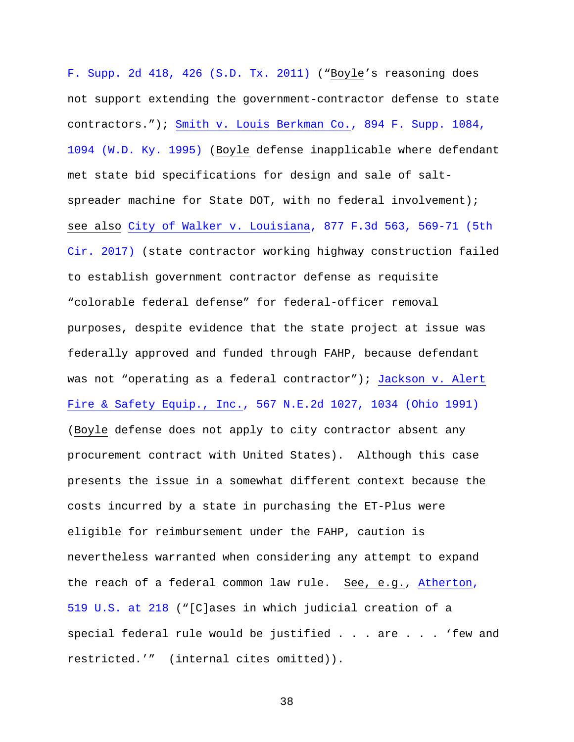F. Supp. 2d 418, 426 (S.D. Tx. 2011) ("Boyle's reasoning does not support extending the government-contractor defense to state contractors."); Smith v. Louis Berkman Co., 894 F. Supp. 1084, 1094 (W.D. Ky. 1995) (Boyle defense inapplicable where defendant met state bid specifications for design and sale of saltspreader machine for State DOT, with no federal involvement); see also City of Walker v. Louisiana, 877 F.3d 563, 569-71 (5th Cir. 2017) (state contractor working highway construction failed to establish government contractor defense as requisite "colorable federal defense" for federal-officer removal purposes, despite evidence that the state project at issue was federally approved and funded through FAHP, because defendant was not "operating as a federal contractor"); Jackson v. Alert Fire & Safety Equip., Inc., 567 N.E.2d 1027, 1034 (Ohio 1991) (Boyle defense does not apply to city contractor absent any procurement contract with United States). Although this case presents the issue in a somewhat different context because the costs incurred by a state in purchasing the ET-Plus were eligible for reimbursement under the FAHP, caution is nevertheless warranted when considering any attempt to expand the reach of a federal common law rule. See, e.g., Atherton, 519 U.S. at 218 ("[C]ases in which judicial creation of a special federal rule would be justified . . . are . . . 'few and restricted.'" (internal cites omitted)).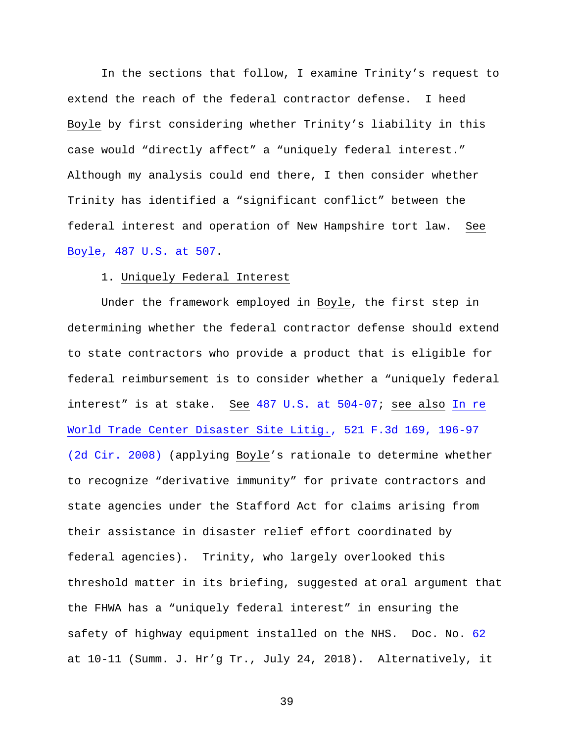In the sections that follow, I examine Trinity's request to extend the reach of the federal contractor defense. I heed Boyle by first considering whether Trinity's liability in this case would "directly affect" a "uniquely federal interest." Although my analysis could end there, I then consider whether Trinity has identified a "significant conflict" between the federal interest and operation of New Hampshire tort law. See Boyle, 487 U.S. at 507.

### 1. Uniquely Federal Interest

Under the framework employed in Boyle, the first step in determining whether the federal contractor defense should extend to state contractors who provide a product that is eligible for federal reimbursement is to consider whether a "uniquely federal interest" is at stake. See 487 U.S. at 504-07; see also In re World Trade Center Disaster Site Litig., 521 F.3d 169, 196-97 (2d Cir. 2008) (applying Boyle's rationale to determine whether to recognize "derivative immunity" for private contractors and state agencies under the Stafford Act for claims arising from their assistance in disaster relief effort coordinated by federal agencies). Trinity, who largely overlooked this threshold matter in its briefing, suggested at oral argument that the FHWA has a "uniquely federal interest" in ensuring the safety of highway equipment installed on the NHS. Doc. No. 62 at 10-11 (Summ. J. Hr'g Tr., July 24, 2018). Alternatively, it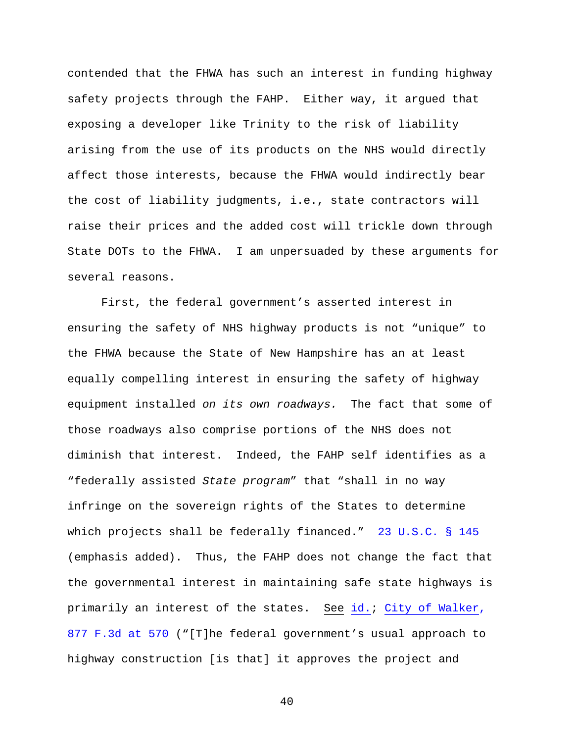contended that the FHWA has such an interest in funding highway safety projects through the FAHP. Either way, it argued that exposing a developer like Trinity to the risk of liability arising from the use of its products on the NHS would directly affect those interests, because the FHWA would indirectly bear the cost of liability judgments, i.e., state contractors will raise their prices and the added cost will trickle down through State DOTs to the FHWA. I am unpersuaded by these arguments for several reasons.

First, the federal government's asserted interest in ensuring the safety of NHS highway products is not "unique" to the FHWA because the State of New Hampshire has an at least equally compelling interest in ensuring the safety of highway equipment installed *on its own roadways.* The fact that some of those roadways also comprise portions of the NHS does not diminish that interest. Indeed, the FAHP self identifies as a "federally assisted *State program*" that "shall in no way infringe on the sovereign rights of the States to determine which projects shall be federally financed." 23 U.S.C. § 145 (emphasis added). Thus, the FAHP does not change the fact that the governmental interest in maintaining safe state highways is primarily an interest of the states. See id.; City of Walker, 877 F.3d at 570 ("[T]he federal government's usual approach to highway construction [is that] it approves the project and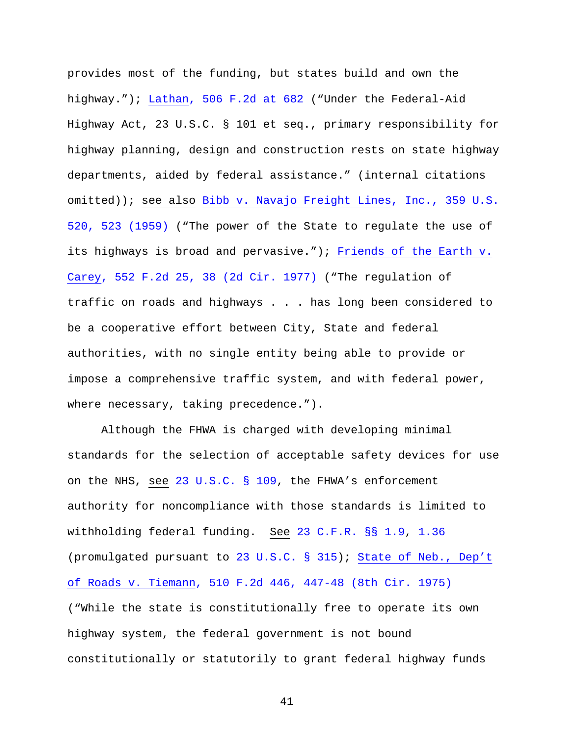provides most of the funding, but states build and own the highway."); Lathan, 506 F.2d at 682 ("Under the Federal-Aid Highway Act, 23 U.S.C. § 101 et seq., primary responsibility for highway planning, design and construction rests on state highway departments, aided by federal assistance." (internal citations omitted)); see also Bibb v. Navajo Freight Lines, Inc., 359 U.S. 520, 523 (1959) ("The power of the State to regulate the use of its highways is broad and pervasive."); Friends of the Earth v. Carey, 552 F.2d 25, 38 (2d Cir. 1977) ("The regulation of traffic on roads and highways . . . has long been considered to be a cooperative effort between City, State and federal authorities, with no single entity being able to provide or impose a comprehensive traffic system, and with federal power, where necessary, taking precedence.").

Although the FHWA is charged with developing minimal standards for the selection of acceptable safety devices for use on the NHS, see 23 U.S.C. § 109, the FHWA's enforcement authority for noncompliance with those standards is limited to withholding federal funding. See 23 C.F.R. §§ 1.9, 1.36 (promulgated pursuant to 23 U.S.C. § 315); State of Neb., Dep't of Roads v. Tiemann, 510 F.2d 446, 447-48 (8th Cir. 1975) ("While the state is constitutionally free to operate its own highway system, the federal government is not bound constitutionally or statutorily to grant federal highway funds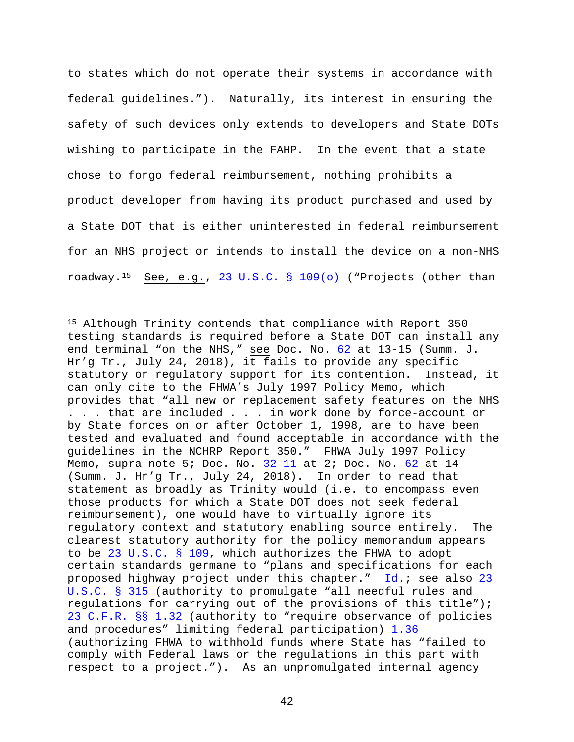to states which do not operate their systems in accordance with federal guidelines."). Naturally, its interest in ensuring the safety of such devices only extends to developers and State DOTs wishing to participate in the FAHP. In the event that a state chose to forgo federal reimbursement, nothing prohibits a product developer from having its product purchased and used by a State DOT that is either uninterested in federal reimbursement for an NHS project or intends to install the device on a non-NHS roadway.15 See, e.g., 23 U.S.C. § 109(o) ("Projects (other than

Ĩ.

<sup>15</sup> Although Trinity contends that compliance with Report 350 testing standards is required before a State DOT can install any end terminal "on the NHS," see Doc. No. 62 at 13-15 (Summ. J. Hr'g Tr., July 24, 2018), it fails to provide any specific statutory or regulatory support for its contention. Instead, it can only cite to the FHWA's July 1997 Policy Memo, which provides that "all new or replacement safety features on the NHS . . . that are included . . . in work done by force-account or by State forces on or after October 1, 1998, are to have been tested and evaluated and found acceptable in accordance with the guidelines in the NCHRP Report 350." FHWA July 1997 Policy Memo, supra note 5; Doc. No. 32-11 at 2; Doc. No. 62 at 14 (Summ. J. Hr'g Tr., July 24, 2018). In order to read that statement as broadly as Trinity would (i.e. to encompass even those products for which a State DOT does not seek federal reimbursement), one would have to virtually ignore its regulatory context and statutory enabling source entirely. The clearest statutory authority for the policy memorandum appears to be 23 U.S.C. § 109, which authorizes the FHWA to adopt certain standards germane to "plans and specifications for each proposed highway project under this chapter." Id.; see also 23 U.S.C. § 315 (authority to promulgate "all needful rules and regulations for carrying out of the provisions of this title"); 23 C.F.R. §§ 1.32 (authority to "require observance of policies and procedures" limiting federal participation) 1.36 (authorizing FHWA to withhold funds where State has "failed to comply with Federal laws or the regulations in this part with respect to a project."). As an unpromulgated internal agency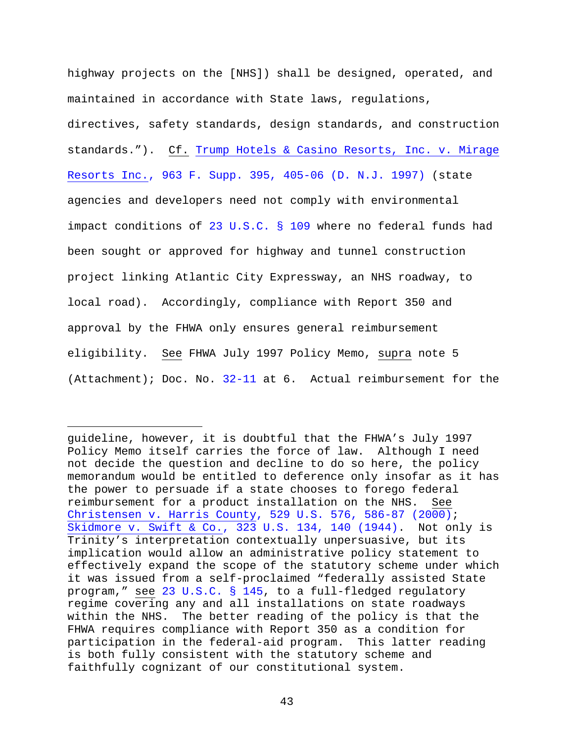highway projects on the [NHS]) shall be designed, operated, and maintained in accordance with State laws, regulations, directives, safety standards, design standards, and construction standards."). Cf. Trump Hotels & Casino Resorts, Inc. v. Mirage Resorts Inc., 963 F. Supp. 395, 405-06 (D. N.J. 1997) (state agencies and developers need not comply with environmental impact conditions of 23 U.S.C. § 109 where no federal funds had been sought or approved for highway and tunnel construction project linking Atlantic City Expressway, an NHS roadway, to local road). Accordingly, compliance with Report 350 and approval by the FHWA only ensures general reimbursement eligibility. See FHWA July 1997 Policy Memo, supra note 5 (Attachment); Doc. No. 32-11 at 6. Actual reimbursement for the

Ĩ.

guideline, however, it is doubtful that the FHWA's July 1997 Policy Memo itself carries the force of law. Although I need not decide the question and decline to do so here, the policy memorandum would be entitled to deference only insofar as it has the power to persuade if a state chooses to forego federal reimbursement for a product installation on the NHS. See Christensen v. Harris County, 529 U.S. 576, 586-87 (2000); Skidmore v. Swift & Co., 323 U.S. 134, 140 (1944). Not only is Trinity's interpretation contextually unpersuasive, but its implication would allow an administrative policy statement to effectively expand the scope of the statutory scheme under which it was issued from a self-proclaimed "federally assisted State program," see 23 U.S.C. § 145, to a full-fledged regulatory regime covering any and all installations on state roadways within the NHS. The better reading of the policy is that the FHWA requires compliance with Report 350 as a condition for participation in the federal-aid program. This latter reading is both fully consistent with the statutory scheme and faithfully cognizant of our constitutional system.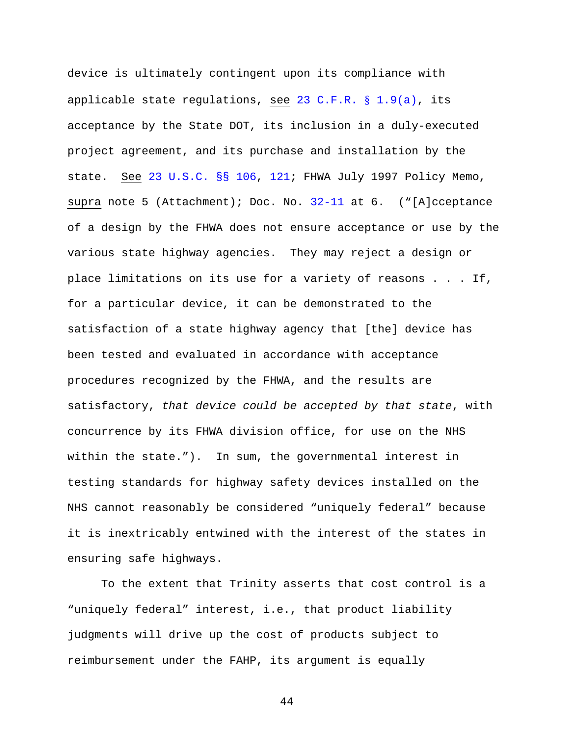device is ultimately contingent upon its compliance with applicable state regulations, see 23 C.F.R.  $\S$  1.9(a), its acceptance by the State DOT, its inclusion in a duly-executed project agreement, and its purchase and installation by the state. See 23 U.S.C. §§ 106, 121; FHWA July 1997 Policy Memo, supra note 5 (Attachment); Doc. No. 32-11 at 6. ("[A]cceptance of a design by the FHWA does not ensure acceptance or use by the various state highway agencies. They may reject a design or place limitations on its use for a variety of reasons . . . If, for a particular device, it can be demonstrated to the satisfaction of a state highway agency that [the] device has been tested and evaluated in accordance with acceptance procedures recognized by the FHWA, and the results are satisfactory, *that device could be accepted by that state*, with concurrence by its FHWA division office, for use on the NHS within the state."). In sum, the governmental interest in testing standards for highway safety devices installed on the NHS cannot reasonably be considered "uniquely federal" because it is inextricably entwined with the interest of the states in ensuring safe highways.

To the extent that Trinity asserts that cost control is a "uniquely federal" interest, i.e., that product liability judgments will drive up the cost of products subject to reimbursement under the FAHP, its argument is equally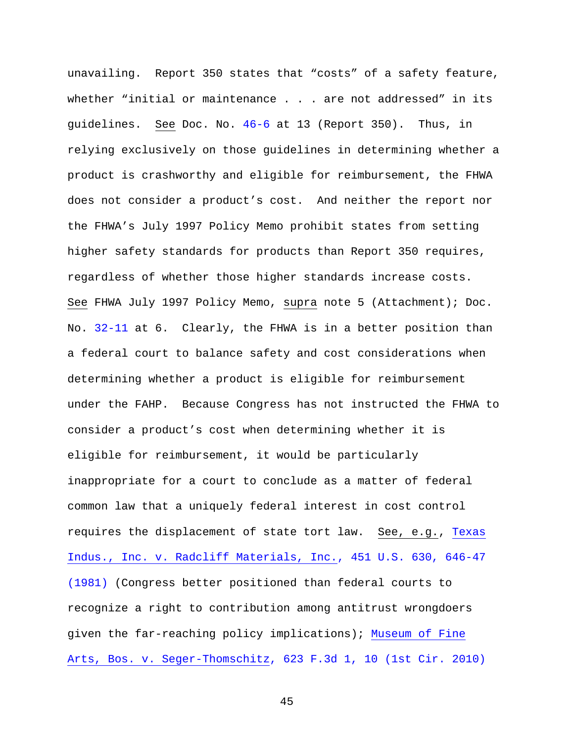unavailing. Report 350 states that "costs" of a safety feature, whether "initial or maintenance . . . are not addressed" in its guidelines. See Doc. No. 46-6 at 13 (Report 350). Thus, in relying exclusively on those guidelines in determining whether a product is crashworthy and eligible for reimbursement, the FHWA does not consider a product's cost. And neither the report nor the FHWA's July 1997 Policy Memo prohibit states from setting higher safety standards for products than Report 350 requires, regardless of whether those higher standards increase costs. See FHWA July 1997 Policy Memo, supra note 5 (Attachment); Doc. No. 32-11 at 6. Clearly, the FHWA is in a better position than a federal court to balance safety and cost considerations when determining whether a product is eligible for reimbursement under the FAHP. Because Congress has not instructed the FHWA to consider a product's cost when determining whether it is eligible for reimbursement, it would be particularly inappropriate for a court to conclude as a matter of federal common law that a uniquely federal interest in cost control requires the displacement of state tort law. See, e.g., Texas Indus., Inc. v. Radcliff Materials, Inc., 451 U.S. 630, 646-47 (1981) (Congress better positioned than federal courts to recognize a right to contribution among antitrust wrongdoers given the far-reaching policy implications); Museum of Fine Arts, Bos. v. Seger-Thomschitz, 623 F.3d 1, 10 (1st Cir. 2010)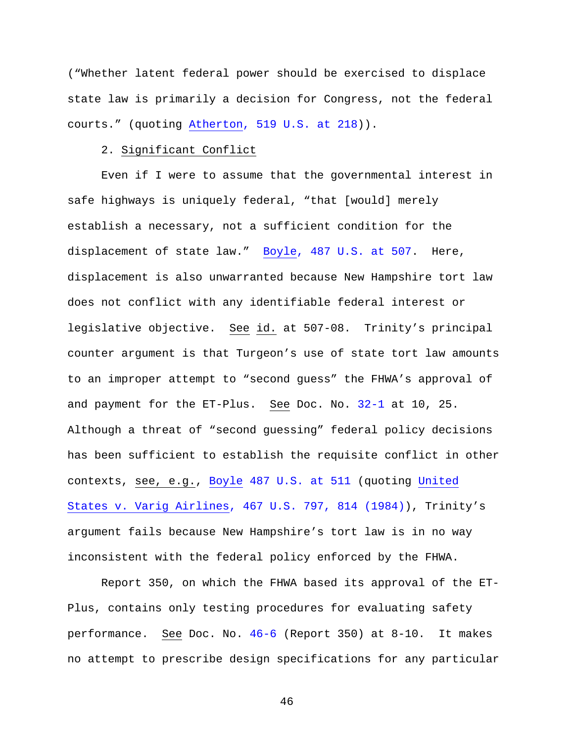("Whether latent federal power should be exercised to displace state law is primarily a decision for Congress, not the federal courts." (quoting Atherton, 519 U.S. at 218)).

### 2. Significant Conflict

Even if I were to assume that the governmental interest in safe highways is uniquely federal, "that [would] merely establish a necessary, not a sufficient condition for the displacement of state law." Boyle, 487 U.S. at 507. Here, displacement is also unwarranted because New Hampshire tort law does not conflict with any identifiable federal interest or legislative objective. See id. at 507-08. Trinity's principal counter argument is that Turgeon's use of state tort law amounts to an improper attempt to "second guess" the FHWA's approval of and payment for the ET-Plus. See Doc. No. 32-1 at 10, 25. Although a threat of "second guessing" federal policy decisions has been sufficient to establish the requisite conflict in other contexts, see, e.g., Boyle 487 U.S. at 511 (quoting United States v. Varig Airlines, 467 U.S. 797, 814 (1984)), Trinity's argument fails because New Hampshire's tort law is in no way inconsistent with the federal policy enforced by the FHWA.

Report 350, on which the FHWA based its approval of the ET-Plus, contains only testing procedures for evaluating safety performance. See Doc. No. 46-6 (Report 350) at 8-10. It makes no attempt to prescribe design specifications for any particular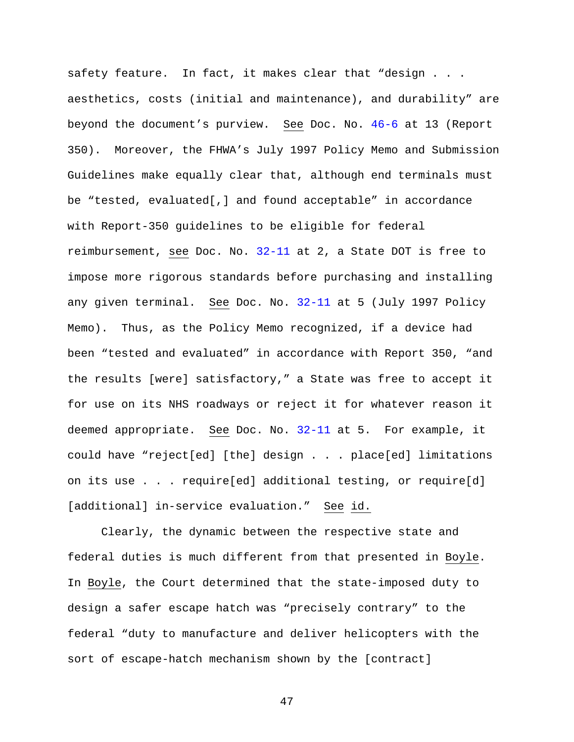safety feature. In fact, it makes clear that "design . . . aesthetics, costs (initial and maintenance), and durability" are beyond the document's purview. See Doc. No. 46-6 at 13 (Report 350). Moreover, the FHWA's July 1997 Policy Memo and Submission Guidelines make equally clear that, although end terminals must be "tested, evaluated[,] and found acceptable" in accordance with Report-350 guidelines to be eligible for federal reimbursement, see Doc. No. 32-11 at 2, a State DOT is free to impose more rigorous standards before purchasing and installing any given terminal. See Doc. No. 32-11 at 5 (July 1997 Policy Memo). Thus, as the Policy Memo recognized, if a device had been "tested and evaluated" in accordance with Report 350, "and the results [were] satisfactory," a State was free to accept it for use on its NHS roadways or reject it for whatever reason it deemed appropriate. See Doc. No. 32-11 at 5. For example, it could have "reject[ed] [the] design . . . place[ed] limitations on its use . . . require[ed] additional testing, or require[d] [additional] in-service evaluation." See id.

Clearly, the dynamic between the respective state and federal duties is much different from that presented in Boyle. In Boyle, the Court determined that the state-imposed duty to design a safer escape hatch was "precisely contrary" to the federal "duty to manufacture and deliver helicopters with the sort of escape-hatch mechanism shown by the [contract]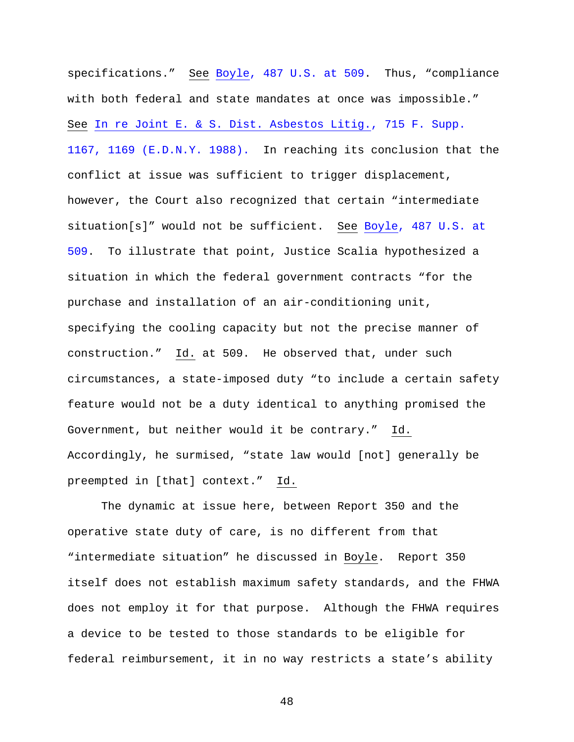specifications." See Boyle, 487 U.S. at 509. Thus, "compliance with both federal and state mandates at once was impossible." See In re Joint E. & S. Dist. Asbestos Litig., 715 F. Supp. 1167, 1169 (E.D.N.Y. 1988). In reaching its conclusion that the conflict at issue was sufficient to trigger displacement, however, the Court also recognized that certain "intermediate situation[s]" would not be sufficient. See Boyle, 487 U.S. at 509. To illustrate that point, Justice Scalia hypothesized a situation in which the federal government contracts "for the purchase and installation of an air-conditioning unit, specifying the cooling capacity but not the precise manner of construction." Id. at 509. He observed that, under such circumstances, a state-imposed duty "to include a certain safety feature would not be a duty identical to anything promised the Government, but neither would it be contrary." Id. Accordingly, he surmised, "state law would [not] generally be preempted in [that] context." Id.

The dynamic at issue here, between Report 350 and the operative state duty of care, is no different from that "intermediate situation" he discussed in Boyle. Report 350 itself does not establish maximum safety standards, and the FHWA does not employ it for that purpose. Although the FHWA requires a device to be tested to those standards to be eligible for federal reimbursement, it in no way restricts a state's ability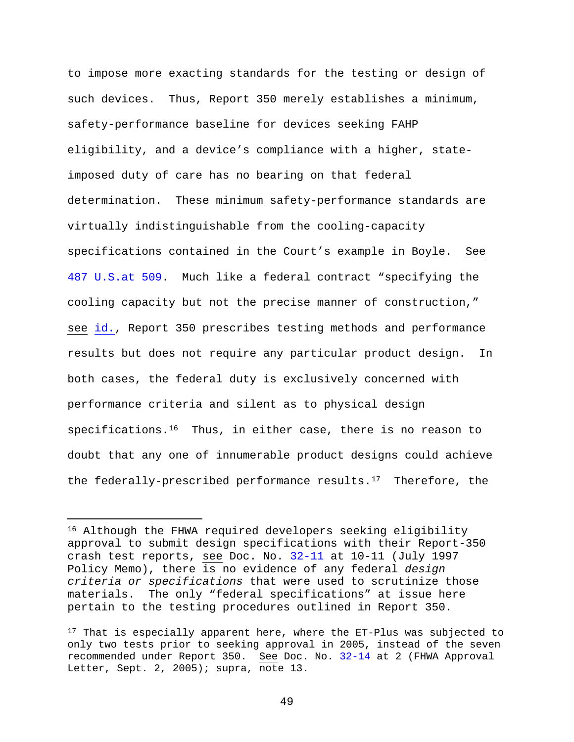to impose more exacting standards for the testing or design of such devices. Thus, Report 350 merely establishes a minimum, safety-performance baseline for devices seeking FAHP eligibility, and a device's compliance with a higher, stateimposed duty of care has no bearing on that federal determination. These minimum safety-performance standards are virtually indistinguishable from the cooling-capacity specifications contained in the Court's example in Boyle. See 487 U.S.at 509. Much like a federal contract "specifying the cooling capacity but not the precise manner of construction," see id., Report 350 prescribes testing methods and performance results but does not require any particular product design. In both cases, the federal duty is exclusively concerned with performance criteria and silent as to physical design specifications.<sup>16</sup> Thus, in either case, there is no reason to doubt that any one of innumerable product designs could achieve the federally-prescribed performance results. $17$  Therefore, the

Ĩ.

<sup>16</sup> Although the FHWA required developers seeking eligibility approval to submit design specifications with their Report-350 crash test reports, see Doc. No. 32-11 at 10-11 (July 1997 Policy Memo), there is no evidence of any federal *design criteria or specifications* that were used to scrutinize those materials. The only "federal specifications" at issue here pertain to the testing procedures outlined in Report 350.

 $17$  That is especially apparent here, where the ET-Plus was subjected to only two tests prior to seeking approval in 2005, instead of the seven recommended under Report 350. See Doc. No. 32-14 at 2 (FHWA Approval Letter, Sept. 2, 2005);  $\frac{\text{supra}}{\text{supra}}}$ , note 13.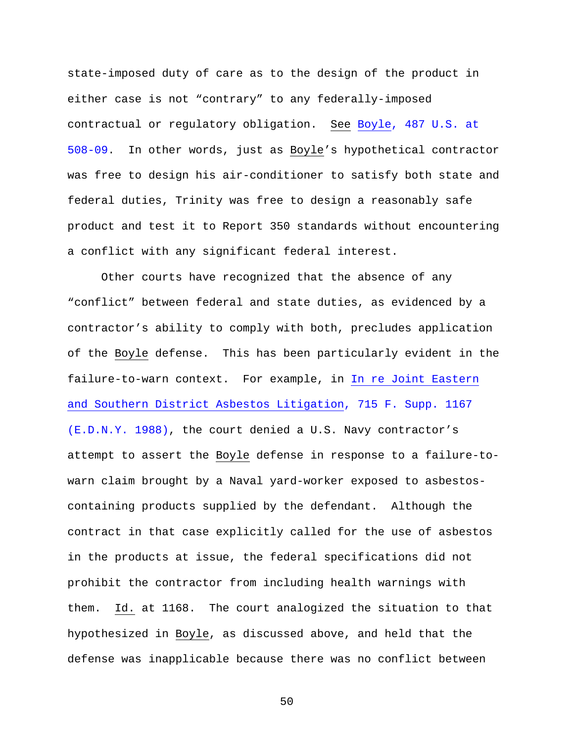state-imposed duty of care as to the design of the product in either case is not "contrary" to any federally-imposed contractual or regulatory obligation. See Boyle, 487 U.S. at 508-09. In other words, just as Boyle's hypothetical contractor was free to design his air-conditioner to satisfy both state and federal duties, Trinity was free to design a reasonably safe product and test it to Report 350 standards without encountering a conflict with any significant federal interest.

Other courts have recognized that the absence of any "conflict" between federal and state duties, as evidenced by a contractor's ability to comply with both, precludes application of the Boyle defense. This has been particularly evident in the failure-to-warn context. For example, in In re Joint Eastern and Southern District Asbestos Litigation, 715 F. Supp. 1167 (E.D.N.Y. 1988), the court denied a U.S. Navy contractor's attempt to assert the Boyle defense in response to a failure-towarn claim brought by a Naval yard-worker exposed to asbestoscontaining products supplied by the defendant. Although the contract in that case explicitly called for the use of asbestos in the products at issue, the federal specifications did not prohibit the contractor from including health warnings with them. Id. at 1168. The court analogized the situation to that hypothesized in Boyle, as discussed above, and held that the defense was inapplicable because there was no conflict between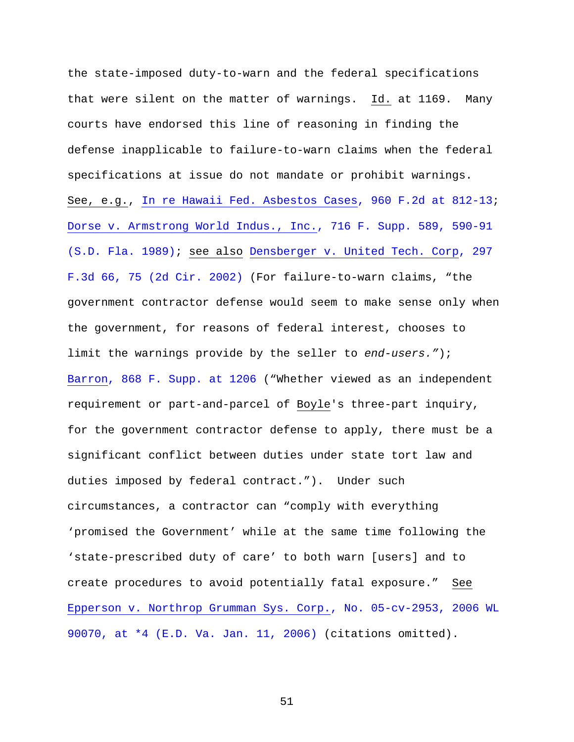the state-imposed duty-to-warn and the federal specifications that were silent on the matter of warnings. Id. at 1169. Many courts have endorsed this line of reasoning in finding the defense inapplicable to failure-to-warn claims when the federal specifications at issue do not mandate or prohibit warnings. See, e.g., In re Hawaii Fed. Asbestos Cases, 960 F.2d at 812-13; Dorse v. Armstrong World Indus., Inc., 716 F. Supp. 589, 590-91 (S.D. Fla. 1989); see also Densberger v. United Tech. Corp, 297 F.3d 66, 75 (2d Cir. 2002) (For failure-to-warn claims, "the government contractor defense would seem to make sense only when the government, for reasons of federal interest, chooses to limit the warnings provide by the seller to *end-users."*); Barron, 868 F. Supp. at 1206 ("Whether viewed as an independent requirement or part-and-parcel of Boyle's three-part inquiry, for the government contractor defense to apply, there must be a significant conflict between duties under state tort law and duties imposed by federal contract."). Under such circumstances, a contractor can "comply with everything 'promised the Government' while at the same time following the 'state-prescribed duty of care' to both warn [users] and to create procedures to avoid potentially fatal exposure." See Epperson v. Northrop Grumman Sys. Corp., No. 05-cv-2953, 2006 WL 90070, at \*4 (E.D. Va. Jan. 11, 2006) (citations omitted).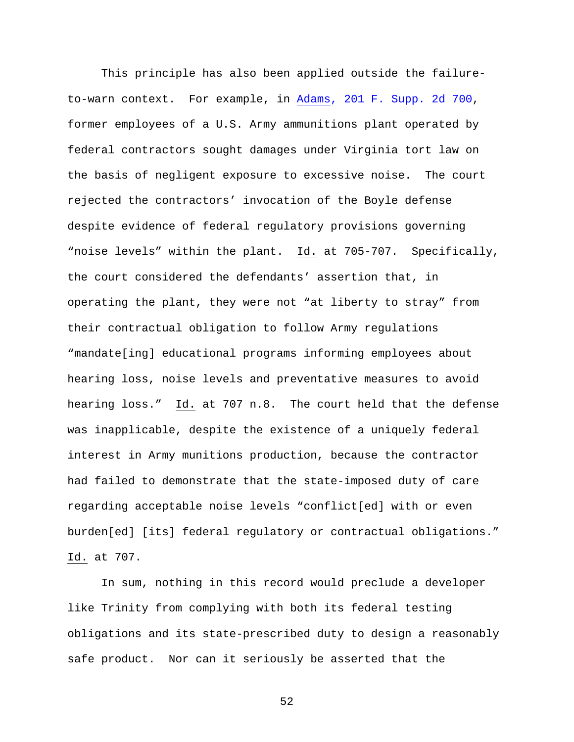This principle has also been applied outside the failureto-warn context. For example, in Adams, 201 F. Supp. 2d 700, former employees of a U.S. Army ammunitions plant operated by federal contractors sought damages under Virginia tort law on the basis of negligent exposure to excessive noise. The court rejected the contractors' invocation of the Boyle defense despite evidence of federal regulatory provisions governing "noise levels" within the plant. Id. at 705-707. Specifically, the court considered the defendants' assertion that, in operating the plant, they were not "at liberty to stray" from their contractual obligation to follow Army regulations "mandate[ing] educational programs informing employees about hearing loss, noise levels and preventative measures to avoid hearing loss." Id. at 707 n.8. The court held that the defense was inapplicable, despite the existence of a uniquely federal interest in Army munitions production, because the contractor had failed to demonstrate that the state-imposed duty of care regarding acceptable noise levels "conflict[ed] with or even burden[ed] [its] federal regulatory or contractual obligations." Id. at 707.

In sum, nothing in this record would preclude a developer like Trinity from complying with both its federal testing obligations and its state-prescribed duty to design a reasonably safe product. Nor can it seriously be asserted that the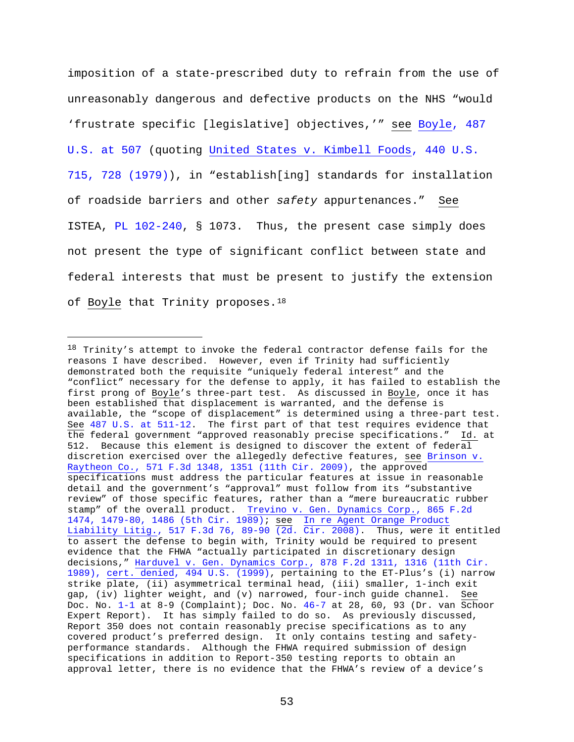imposition of a state-prescribed duty to refrain from the use of unreasonably dangerous and defective products on the NHS "would 'frustrate specific [legislative] objectives,'" see Boyle, 487 U.S. at 507 (quoting United States v. Kimbell Foods, 440 U.S. 715, 728 (1979)), in "establish[ing] standards for installation of roadside barriers and other *safety* appurtenances." See ISTEA, PL 102-240, § 1073. Thus, the present case simply does not present the type of significant conflict between state and federal interests that must be present to justify the extension of Boyle that Trinity proposes.<sup>18</sup>

Ĩ.

 $18$  Trinity's attempt to invoke the federal contractor defense fails for the reasons I have described. However, even if Trinity had sufficiently demonstrated both the requisite "uniquely federal interest" and the "conflict" necessary for the defense to apply, it has failed to establish the first prong of Boyle's three-part test. As discussed in Boyle, once it has been established that displacement is warranted, and the defense is available, the "scope of displacement" is determined using a three-part test. See 487 U.S. at 511-12. The first part of that test requires evidence that the federal government "approved reasonably precise specifications." Id. at 512. Because this element is designed to discover the extent of federal discretion exercised over the allegedly defective features, see Brinson v. Raytheon Co., 571 F.3d 1348, 1351 (11th Cir. 2009), the approved specifications must address the particular features at issue in reasonable detail and the government's "approval" must follow from its "substantive review" of those specific features, rather than a "mere bureaucratic rubber stamp" of the overall product. Trevino v. Gen. Dynamics Corp., 865 F.2d 1474, 1479-80, 1486 (5th Cir. 1989); see In re Agent Orange Product Liability Litig., 517 F.3d 76, 89-90 (2d. Cir. 2008). Thus, were it entitled to assert the defense to begin with, Trinity would be required to present evidence that the FHWA "actually participated in discretionary design decisions," Harduvel v. Gen. Dynamics Corp., 878 F.2d 1311, 1316 (11th Cir. 1989), cert. denied, 494 U.S. (1999), pertaining to the ET-Plus's (i) narrow strike plate, (ii) asymmetrical terminal head, (iii) smaller, 1-inch exit gap, (iv) lighter weight, and (v) narrowed, four-inch guide channel. See Doc. No. 1-1 at 8-9 (Complaint); Doc. No. 46-7 at 28, 60, 93 (Dr. van Schoor Expert Report). It has simply failed to do so. As previously discussed, Report 350 does not contain reasonably precise specifications as to any covered product's preferred design. It only contains testing and safetyperformance standards. Although the FHWA required submission of design specifications in addition to Report-350 testing reports to obtain an approval letter, there is no evidence that the FHWA's review of a device's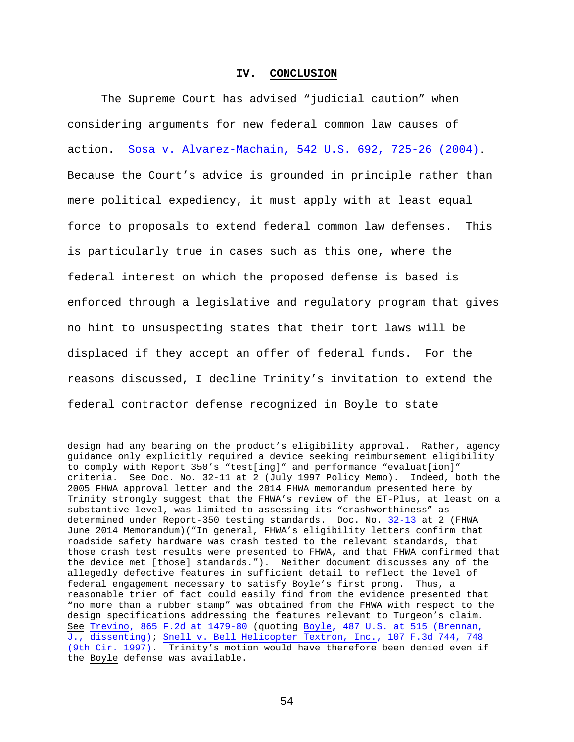#### **IV. CONCLUSION**

The Supreme Court has advised "judicial caution" when considering arguments for new federal common law causes of action. Sosa v. Alvarez-Machain, 542 U.S. 692, 725-26 (2004). Because the Court's advice is grounded in principle rather than mere political expediency, it must apply with at least equal force to proposals to extend federal common law defenses. This is particularly true in cases such as this one, where the federal interest on which the proposed defense is based is enforced through a legislative and regulatory program that gives no hint to unsuspecting states that their tort laws will be displaced if they accept an offer of federal funds. For the reasons discussed, I decline Trinity's invitation to extend the federal contractor defense recognized in Boyle to state

Ĩ.

design had any bearing on the product's eligibility approval. Rather, agency guidance only explicitly required a device seeking reimbursement eligibility to comply with Report 350's "test[ing]" and performance "evaluat[ion]" criteria. See Doc. No. 32-11 at 2 (July 1997 Policy Memo). Indeed, both the 2005 FHWA approval letter and the 2014 FHWA memorandum presented here by Trinity strongly suggest that the FHWA's review of the ET-Plus, at least on a substantive level, was limited to assessing its "crashworthiness" as determined under Report-350 testing standards. Doc. No. 32-13 at 2 (FHWA June 2014 Memorandum)("In general, FHWA's eligibility letters confirm that roadside safety hardware was crash tested to the relevant standards, that those crash test results were presented to FHWA, and that FHWA confirmed that the device met [those] standards."). Neither document discusses any of the allegedly defective features in sufficient detail to reflect the level of federal engagement necessary to satisfy Boyle's first prong. Thus, a reasonable trier of fact could easily find from the evidence presented that "no more than a rubber stamp" was obtained from the FHWA with respect to the design specifications addressing the features relevant to Turgeon's claim. See Trevino, 865 F.2d at 1479-80 (quoting Boyle, 487 U.S. at 515 (Brennan, J., dissenting); Snell v. Bell Helicopter Textron, Inc., 107 F.3d 744, 748 (9th Cir. 1997). Trinity's motion would have therefore been denied even if the Boyle defense was available.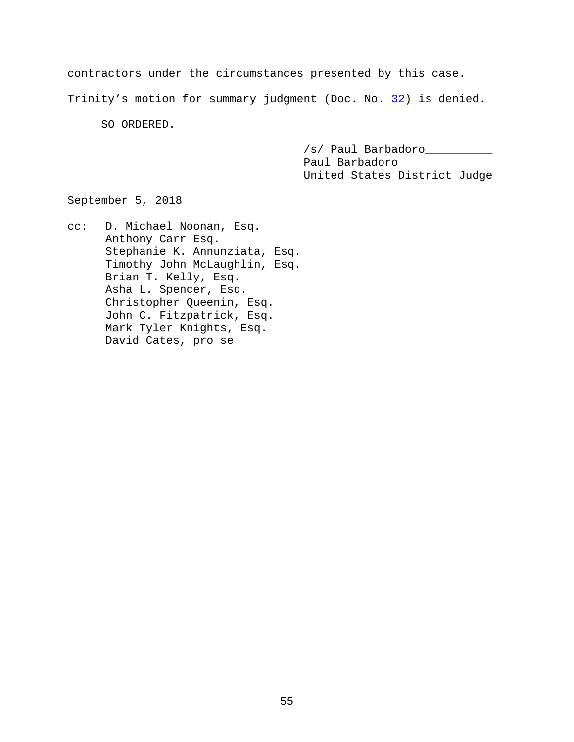contractors under the circumstances presented by this case.

Trinity's motion for summary judgment (Doc. No. 32) is denied.

SO ORDERED.

/s/ Paul Barbadoro\_\_\_\_\_\_\_\_\_\_

Paul Barbadoro United States District Judge

September 5, 2018

cc: D. Michael Noonan, Esq. Anthony Carr Esq. Stephanie K. Annunziata, Esq. Timothy John McLaughlin, Esq. Brian T. Kelly, Esq. Asha L. Spencer, Esq. Christopher Queenin, Esq. John C. Fitzpatrick, Esq. Mark Tyler Knights, Esq. David Cates, pro se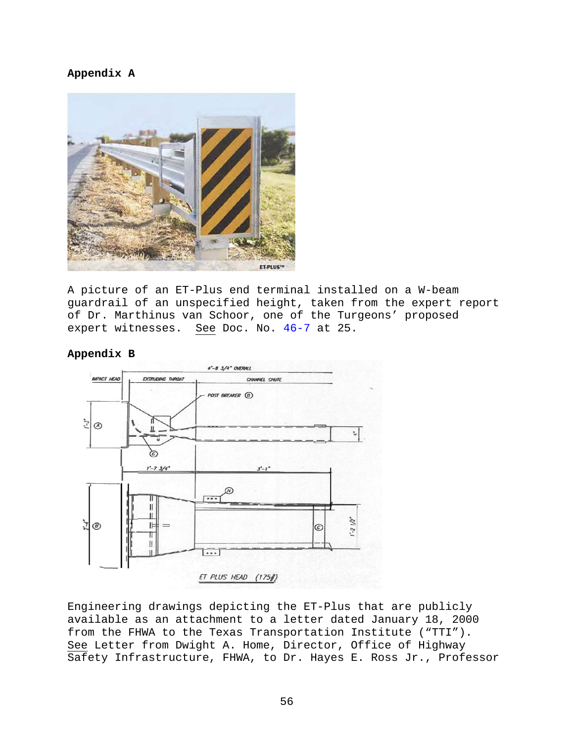### **Appendix A**



A picture of an ET-Plus end terminal installed on a W-beam guardrail of an unspecified height, taken from the expert report of Dr. Marthinus van Schoor, one of the Turgeons' proposed expert witnesses. See Doc. No. 46-7 at 25.



#### **Appendix B**

Engineering drawings depicting the ET-Plus that are publicly available as an attachment to a letter dated January 18, 2000 from the FHWA to the Texas Transportation Institute ("TTI"). See Letter from Dwight A. Home, Director, Office of Highway Safety Infrastructure, FHWA, to Dr. Hayes E. Ross Jr., Professor